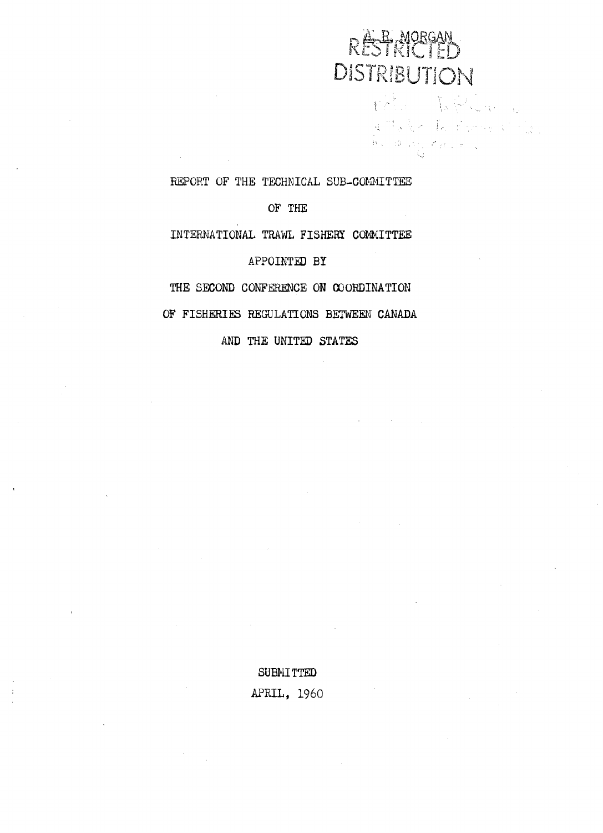# RÉSTRICTED<br>DISTRIBUTION

the Welton  $\label{eq:Ricci} \mathcal{A} \stackrel{\text{def}}{=} \mathcal{A} \otimes \mathcal{A} \otimes \mathcal{A} \otimes \mathcal{A} \otimes \mathcal{A} \otimes \mathcal{A} \otimes \mathcal{A} \otimes \mathcal{A}$ 

REPORT OF THE TECHNICAL SUB-COMMITTEE

OF THE OF THE

INTERNATIONAL TRAWL FISHERY COMMITTEE

APPOINTED BY

THE SECOND CONFERENCE ON WODINATION **THE** SECOND CONFERENCE ON COORDINATION

OF FISHERI REGULATIONS BETWEEN CANADA OF FISHERIES REGULATIONS BETWEEN CANADA

AND THE UNITED STATES

SUBMITTED APRIL, 1960 APRIL, 1960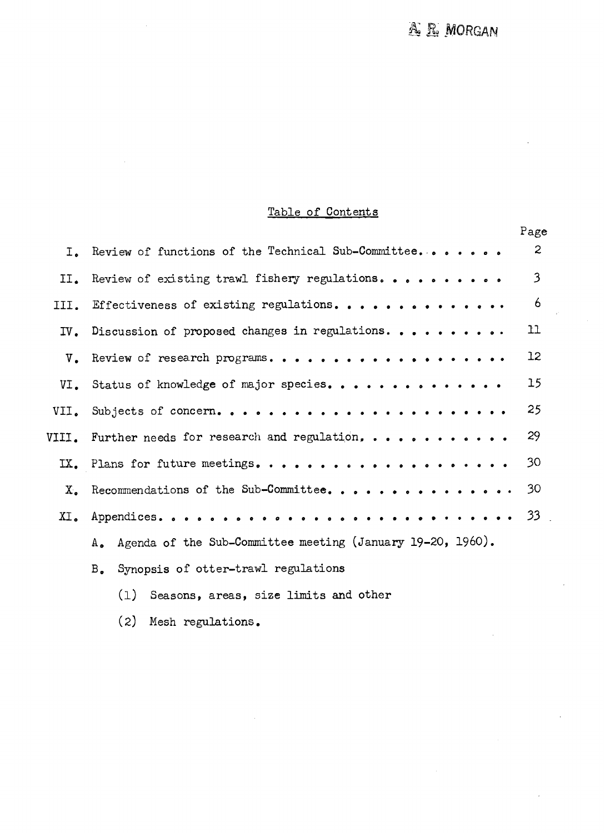#### Table of Contents Table of Contents

|                                                               | Page |
|---------------------------------------------------------------|------|
| I. Review of functions of the Technical Sub-Committee         |      |
| II. Review of existing trawl fishery regulations              |      |
| III. Effectiveness of existing regulations                    |      |
|                                                               |      |
| $V_{\bullet}$ Review of research programs. 12                 |      |
|                                                               |      |
|                                                               |      |
| VIII. Further needs for research and regulation, 29           |      |
|                                                               |      |
|                                                               |      |
|                                                               |      |
| A. Agenda of the Sub-Committee meeting (January 19-20, 1960). |      |
| B. Synopsis of otter-trawl regulations                        |      |

- (1) Seasons, areas, size limits and other (1) Seasons. areas. size limits and other
- (2) Iesh regulations. (2) Mesh regulations .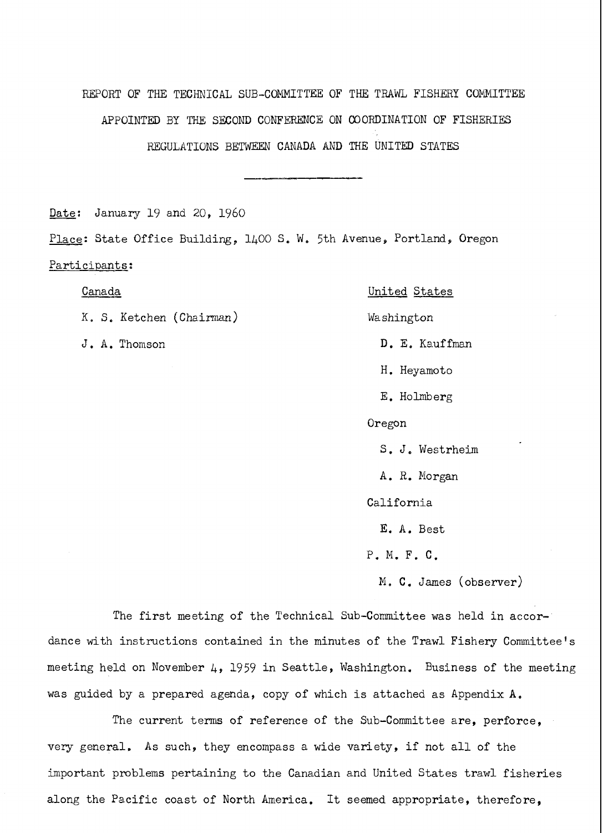REPORT OF THE TECHNICAL SUB-COMMITTEE OF THE TRAWL FISHERY COMMITTEE APPOINTED BY THE SECOND CONFERENCE ON COORDINATION OF FISHERIES REGULATIONS BETWEEN CANADA AND THE UNITED STATES

Date: January 19 and 20, 1960

Place: State Office Building, 1400 S. W, 5th Avenue, Portland, Oregon Place: State Office Building, 1400 S. **We** 5th Avenue, Portland, Oregon Participants: Canada -- United States

K. S. Ketchen (Chairman) Washington

#### Canada United States

J. A. Thomson D. E. Kauffman

H. Heyamoto H. Heyamoto

E. Holmberg E. Holmberg

Oregon Oregon

S. J, Westrhejm S. J. Westrheim

A. R. Morgan **A.** R. Morgan

California California

E. A. Best E. A. Best

P. M. F. C. P. M. F. C.

N, C. James (observer) M. C. James (observer)

The first meeting of the Technical Sub-Committee was held in accordance with instructions contained in the minutes of the Trawl Fishery Committee's meeting held on November  $\mu$ , 1959 in Seattle, Washington. Business of the meeting  $\hskip10mm$ was guided by a prepared agenda, copy of which is attached as Appendix A.

The current terms of reference of the Sub-Committee are, perforce, The current terms of reference of the Sub-committee are, perforce, very general. As such, they encompass a wide variety, if not all of the very general. As such, they encompass a wide variety, if not all of the important problems pertaining to the Canadian and United States trawl fisheries  $\qquad \qquad \mid$ along the Pacific coast of North America. It seemed appropriate, therefore,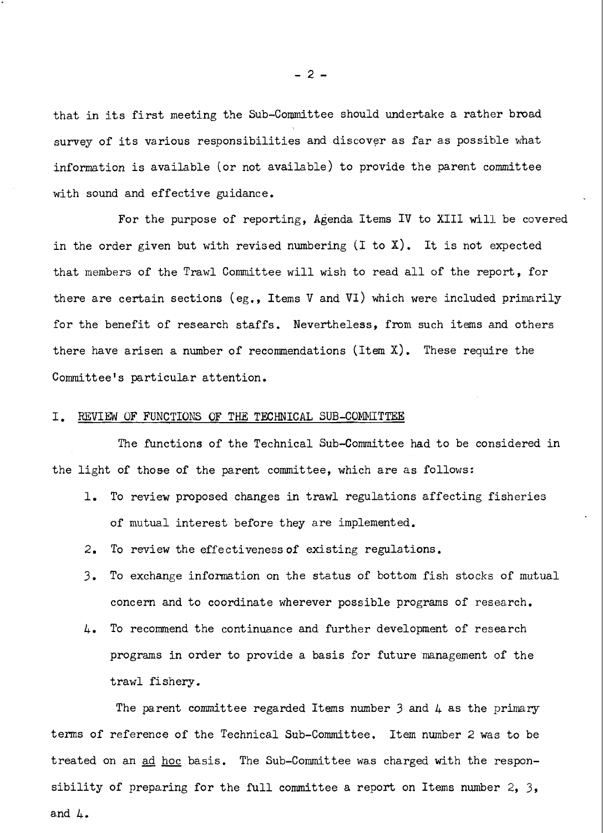that in its first meeting the Sub-Committee should undertake a rather broad survey of its various responsibilities and discover as far as possible what information is available (or not available) to provide the parent committee information is available (or not available) to provide the parent committee with sound and effective guidance. with sound and effective guidance.

For the purpose of reporting, Agenda Items IV to XIII will be covered  $\qquad \qquad \mid$ in the order given but with revised numbering (I to X). It is not expected that members of the Trawl Committee will wish to read all of the report, for  $\vert$ there are certain sections (eg., Items V and VI) which were included primarily  $\qquad \qquad \mid$ for the benefit of research staffs. Nevertheless, from such items and others  $\qquad \qquad \mid$ there have arisen a number of recommendations (Item X). These require the Committee's particular attention. Committee's particu1a.r attention.

## I. REVIEW OF FUNCTIONS OF THE TECHNICAL SUB-COMMITTEE

The functions of the Technical Sub-Committee had to be considered in The finctions of the Technical Sub-Committee had to be considered in the light of those of the parent committee, which are as follows: the light of those of the parent committee, which are as follows:

- 1. To review proposed changes in trawl regulations affecting fisheries  $\qquad \qquad \mid$ of mutual interest before they are implemented.
- 2. To review the effectiveness of existing regulations. **2.** To review the effectiveness of existing regulations.
- 3. To exchange information on the status of bottom fish stocks of mutual *3.* To exchange information on the status of bottom fish stocks of mutual concern and to coordinate wherever possible programs of research.
- 4. To recommend the continuance and further development of research 4. To recommend the continuance and further development of research programs in order to provide a basis for future management of the programs in order to provide a basis for future management of the trawl fishery. trawl fishery.

The parent committee regarded Items number 3 and 4 as the primary The parent committee regarded Items number *3* and 4 as the primary terms of reference of the Technical Sub-Committee. Item number 2 was to be treated on an ad hoc basis. The Sub-Committee was charged with the responsibility of preparing for the full committee a report on Items number 2, 3, sibility of prepasring for the full committee a report on Items number 2, 3, and 4. a.nd 4.

-2-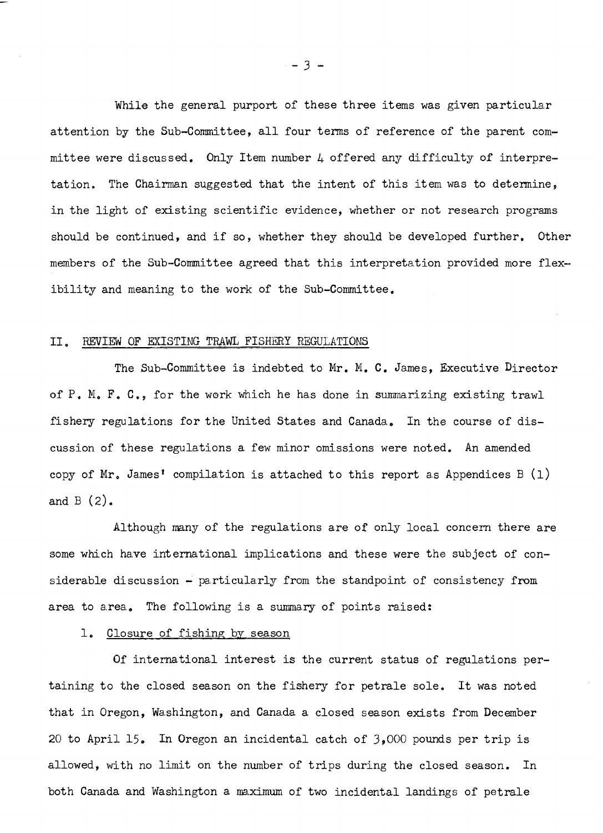While the general purport of these three items was given particular attention by the Sub-Committee, all four terms of reference of the parent committee were discussed. Only Item number  $\mu$  offered any difficulty of interpretation. The Chairman suggested that the intent of this item was to determine, tation. The Chairman suggested that the intent of this item was to determine, in the light of existing scientific evidence, whether or not research programs in the light of existing scientific evidence, whether or not research programs should be continued, and if so, whether they should be developed further. Other members of the Sub-Committee agreed that this interpretation provided more flexibility and meaning to the work of the Sub-Committee.

## 11. REVIEW OF EXISTING TRAWL FISHERY REGULATIONS

The Sub-Committee is indebted to Mr. M. C. James, Executive Director of P. M. F. C., for the work which he has done in summarizing existing trawl fishery regulations for the United States and Canada., In the course of dis-fishery regulations for the United States and Canada.. In the course of discussion of these regulations a few minor omissions were noted. An amended copy of Mr. James' compilation is attached to this report as Appendices B (1) and B (2), and B (2).

Although many of the regulations are of only local concern there are some which ha.ve international implications and these were the subject of considerable discussion - particularly from the standpoint of consistency from area to area. The following is a summary of points raised:

# 1. Closure of fishing by season

Of international interest is the current status of regulations pertaining to the closed season on the fishery for petrale sole. It was noted that in Oregon, Washington, and Canada a closed season exists from December 20 to April 15, In Oregon an incidental catch of 3,000 pounds per trip is 20 to April 15, In Oregon an incidental catch of 3,000 pounds per trip is allowed, with no limit on the number of trips during the closed season. In allowed, with no limit on the number of trips during the closed season. In both Canada and Washington a nximum of two incidental landings of petrale both Canada and Washington a **m.ximum** of two incidental landings of petrale

 $-3 -$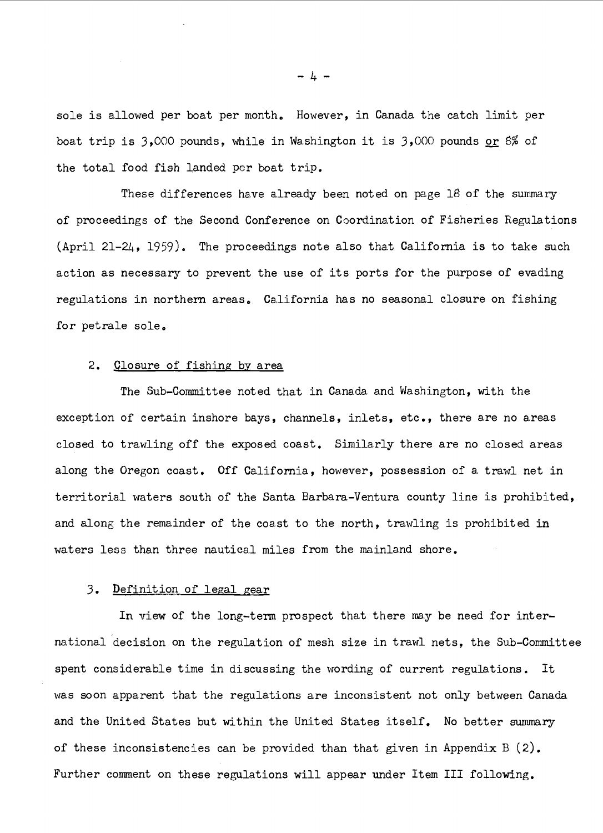sole is allowed per boat per month, However, in Canada the catch limit per sole is allowed per boat per month. However, in Canada the catch limit per boat trip is :3,000 pounds, while in Washington it is 3,000 pounds or % of boast trip is 3,000 pounds, while in Wa.shington it is 3,000 pounds **or** *8%* of the total food fish landed per boat trip. the total food fish landed per boat trip.

These differences have already been noted on page  $18$  of the summary of proceedings of the Second Conference on Coordination of Fisheries Regulations (April 21-24, 1959). The proceedings note also that California is to take such action as necessary to prevent the use of its ports for the purpose of evading action as necessary to prevent the use of its ports for the purpose of evading regulations in northern areas. California has no seasonal closure on fishing for petrale sole, for petrale sole.

#### 2. Closure of fishing by area 2. Closure of fishing by area

The Sub-Committee noted that in Canada and Washington, with the The Sub-committee noted that in Canada and Washington, with the exception of certain inshore bays, channels, inlets, etc., there are no areas closed to trawling off the exposed coast. Similarly there are no closed areas closed to trawling off the exposed coast. Simila.rly there are no closed areas along the Oregon coast. Off California, however, possession of a trawl net in along the Oregon coast. Off California, however, possession of a, trawl net in territorial waters south of the Santa Barbara-Ventura county line is prohibited, and along the remainder of the coast to the north, trawling is prohibited in waters less than three nautical miles from the mainland shore.

#### 3. Definition of legal gear

In view of the long-term prospect that there may be need for international decision on the regulation of mesh size in trawl nets, the Sub-Committee na.tiona1 decision on the regulation of mesh size in trawl nets, the Sub-Committee spent considerable time in discussing the wording of current regulations. It was soon apparent that the regulations are inconsistent not only between Canada was soon apparent that the regulations are inconsistent not only between Canada. and the United States but within the United States itself. No better summary and the United States but within the United States itself. No better summary of these inconsistencies can be provided than that given in Appendix B (2). of these inconsistencies can be provided than that given in Appendix B (2). Further comment on these regulations will appear under Item III following. Further comment on these regulations will appear under Item I11 following.

 $-4 -$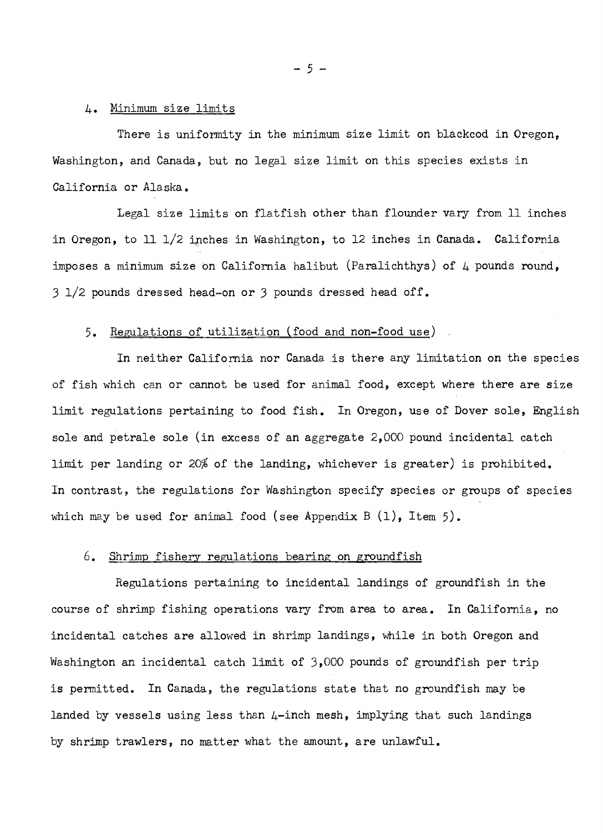## 4. Minimum size limits 4. Minimum size limits

There is unifonnity in the minimum size limit on blackcod in Oregon, There is uniformity in the minimum size limit on blackcod in Oregon, Washington, and Canada, but no legal size limit on this species exists in Washington, and Canada, but no legal size limit on this species exists in California or Alaska. California or Alaska.

Legal size limits on flatfish other than flounder vary from 11 inches in Oregon, to 11 1/2 inches in Washington, to 12 inches in Canada. California imposes a iminimum size on California halibut (Paralichthys) of 4 pounds round, imposes a minimum size on California halibut (Paralichthys) of 4 pounds round, 3 1/2 pounds dressed head-on or 3 pounds dressed head off. 3 1/2 pounds dressed head-on or 3 pounds dressed head off.

#### 5. <u>Regulations of utilization (food and non-food use</u>) ,

In neither California nor Canada is there any limitation on the species In neither California nor Canada. is there any limitation on the species of fish which can or cannot be used for animal food, except where there are size limit regulations pertaining to food fish. In Oregon, use of Dover sole, English limit regulations pertaining to food fish. In Oregon, use of Dover sole, English sole and petrale sole (in excess of an aggregate 2,000 pound incidental catch sole and petrale sole (in excess of an aggregate 2,000 pound incidental catch limit per landing or 20% of the landing, whichever is greater) is prohibited. limit per landing or 20% of the landing, whichever is greater) is prohibited. In contrast, the regulations for Washington specify species or groups of species In contrast, the regulations for Washington specify species or groups of species which may be used for animal food (see Appendix B (1), Item 5). which may be used for animal food (see Appendix B (l), Item 5).

#### 6. Shrimp fishery regulations bearing on groundfish

Regulations pertaining to incidental landings of groundfish in the Regulations pertaining to incidental landings of groundfish in the course of shrimp fishing operations vary from area to area. In California, no course of shrimp fishing operations vary from area to area. In California., no incidental catches are allowed in shrimp landings, while in both Oregon and incidental catches are allowed in shrimp landings, while in both Oregon and Washington an incidental catch limit of  $3,000$  pounds of groundfish per trip is permitted. In Canada, the regulations state that no groundfish may be landed by vessels using less than  $\mu\text{-inch mesh}$ , implying that such landings by shrimp trawlers, no matter what the amount, are unlawful. by shrimp trawlers, no matter what the amount, are unlawful.

-5-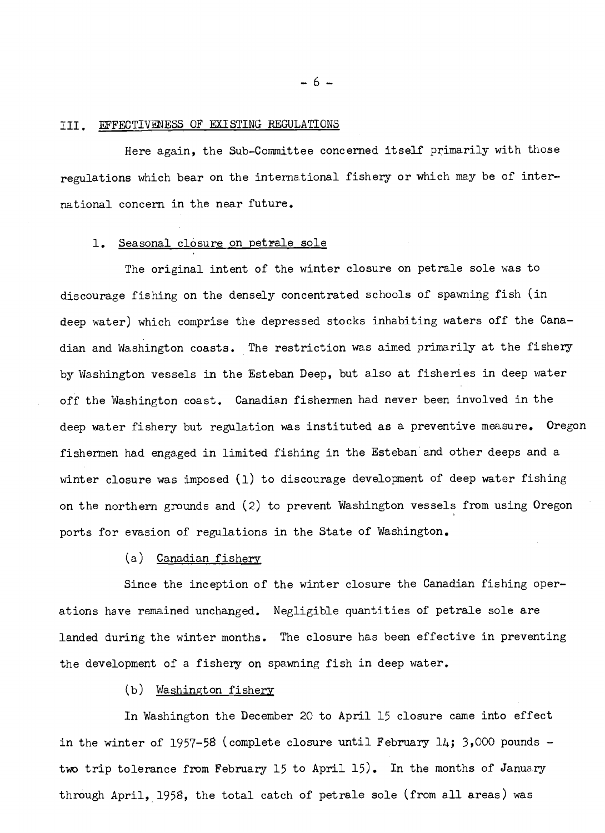## III. EFFECTIVENESS OF EXISTING REGULATIONS

Here again, the Sub-Committee concerned itself primarily with those regulations which bear on the international fishery or which may be of international concern in the near future. national concern in the near future.

# 1. Seasonal closure on petrale sole 1. Seasonal closure on pet~ale sole

The original intent of the winter closure on petrale sole was to The original intent of the winter closure on petrale sole was to discourage fishing on the densely concentrated schools of spawning fish (in discourage fishing on the densely concentrated schools of spawning fish (in deep water) which comprise the depressed stocks inhabiting waters off the Canadian and Washington coasts. The restriction was aimed primarily at the fishery dian and Wa.shington coasts. The restriction was aimed primarily at the fishery by Washington vessels in the Esteban Deep, but also at fisheries in deep water by Washington vessels in the Esteban Deep, but also at fisheries in deep water off the Washington coast. Canadian fishermen had never been involved in the deep water fishery but regulation was instituted as a preventive measure. Oregon deep water fishery but regula-tion was instituted as a preventive measure. Oregon fishermen had engaged in limited fishing in the Esteban and other deeps and a winter closure was imposed (1) to discourage development of deep water fishing winter closure was imposed (1) to discourage development of deep water fishing on the northern grounds and (2) to prevent Washington vessels from using Oregon ports for evasion of regulations in the State of Washington. ports for evasion of regulations in the State of Washington.

#### (a) Canadian fishery (a) Canadian fishery

Since the inception of the winter closure the Canadian fishing oper-Since the inception of the winter closure the Canadian fishing operations have remained unchanged. Negligible quantities of petrale sole are landed during the winter months. The closure has been effective in preventing landed during the winter months. The closure has been effective in preventing the development of a fishery on spawning fish in deep water.

#### (b) Washington fishery (b ) Washington fishery

In Washington the December 20 to April 15 closure came into effect In Washington the December 20 to April 15 closure came into effect in the winter of 1957-58 (complete closure until February 14; 3,000 pounds two trip tolerance from February 15 to April 15). In the months of January two trip tolerance from February 15 to April 15). In the months of January through April, 1958, the total catch of petrale sole (from all areas) was

-6-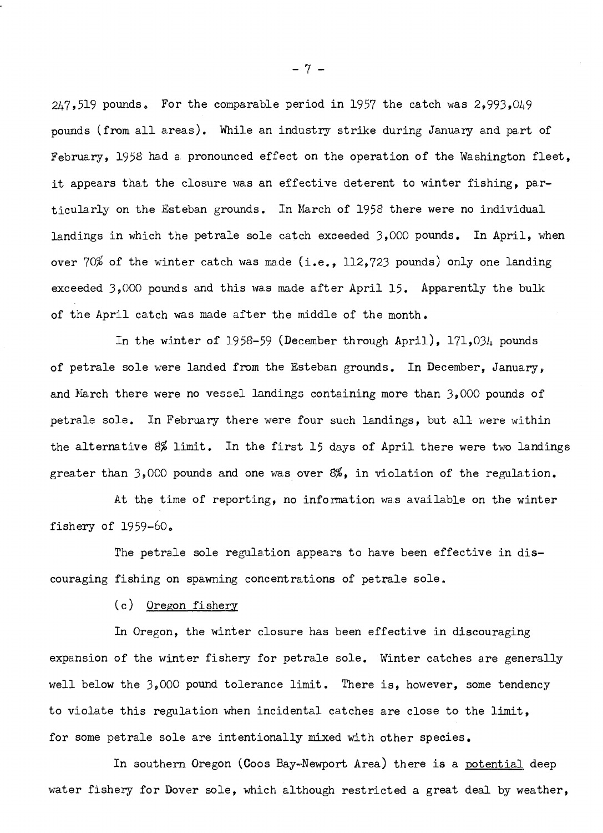$247$ ,519 pounds. For the comparable period in 1957 the catch was  $2$ ,993,049 pounds (from all areas). While an industry strike during January and part of pounds (from all area.s) . While an industry strike during Janua.ry a.nd pa,rt of February, 1958 had a pronounced effect on the operation of the Washington fleet, it appears that the closure was an effective deterent to winter fishing, particularly on the Esteban grounds. In March of 1958 there were no individual landings in which the petrale sole catch exceeded 3,000 pounds. In April, when landings in which the petrale sole catch exceeded 3,000 pounds. In April, when over  $70\%$  of the winter catch was made (i.e., 112, $723$  pounds) only one landing exceeded 3,000 pounds and this was made after April 15. Apparently the bulk exceeded 3,000 pounds and this wars made after April 15. Apparently the bulk of the April catch was made after the middle of the month.

In the winter of 1958-59 (December through April), 171,034 pounds of petrale sole were landed from the Esteban grounds. In December, January, and  $\mathtt{March}$  there were no vessel landings containing more than  $\mathtt{3,000}$  pounds of petrale sole. In February there were four such landings, but all were within petrale sole. In February there were four such landings, but all were within the alternative 8% limit. In the first 15 days of April there were two landings greater than 3,000 pounds and one was over  $8\%$ , in violation of the regulation.

At the time of reporting, no information was available on the winter fishery of 1959-60. fishery of 1959-60.

The petrale sole regulation appears to have been effective in dis-The petrale sole regulation appears to have been effective in discouraging fishing on spawning concentrations of petrale sole. couraging fishing on spawning concentrations of petrale sole.

(c) Oregon fishery (c) Oregon fishery

In Oregon, the winter closure has been effective in discouraging In Oregon, the winter closure has been effective in discouraging expansion of the winter fishery for petrale sole. Winter catches are generally well below the 3,000 pound tolerance limit. There is, however, some tendency well below the 3,000 pound tolerance limit. There is, however, some tendency to violate this regulation when incidental catches are close to the limit, for some petrale sole are intentionally mixed with other species. for some petrale sole are intentionally mixed with other species,

In southern Oregon (Coos Bay–Newport Area) there is a <u>potential</u> deep water fishery for Dover sole, which although restricted a great deal by weather, water fishery for Dover sole, which although restricted a great deal by weather,

-7-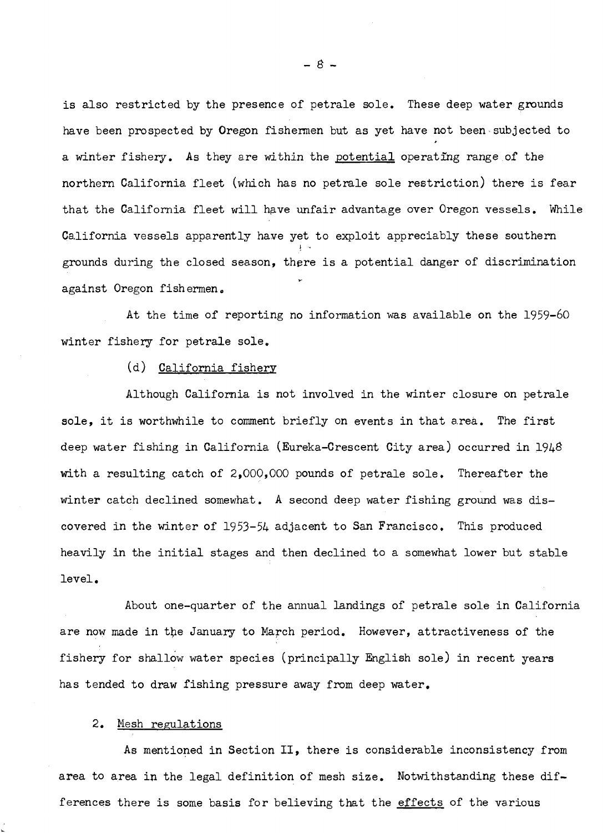is also restricted by the presence of petrale sole. These deep water grounds is also restricted by the presence of petrale sole. These deep water gmunds have been prospected by Oregon fishermen but as yet have not been subjected to have been prospected by Oregon fishermen but as yet have not been subjected to a winter fishery. As they are within the <u>potential</u> operating range of the northern California fleet (which has no petrale sole restriction) there is fear northern California fleet (which has no petrale sole restriction) there is fear that the California fleet will have unfair advantage over Oregon vessels. While California vessels apparently have yet to exploit appreciably these southern grounds during the closed season, there is a potential danger of discrimination grounds during the closed season, there is a potential danger of discrimination against Oregon fishermen. !-

At the time of reporting no information was available on the 1959-60 winter fishery for petrale sole. winter fishery for petrale sole.

#### (d) California fishery

Although California is not involved in the winter closure on petrale Although California is not involved in the winter closure on petrale sole, it is worthwhile to comment briefly on events in that area. The first deep water fishing in California (Eureka-Crescent City area) occurred in l94 deep water fishing in California (Eureka-Crescent City area) occurred in 1948 with a resulting catch of 2,000,000 pounds of petrale sole. Thereafter the with a resulting catch of 2,000,000 pounds of petrale sole. Thereafter the winter catch declined somewhat. A second deep water fishing ground was dis-winter catch declined somewhat. A second deep water fishing ground was discovered in the winter of 1953-54 adjacent to San Francisco. This produced heavily in the initial stages and then declined to a somewhat lower but stable heavily in the initial stages and then declined to a somewhat lower but stable level. level.

About one-quarter of the annual landings of petrale sole in California About one-quarter of the annual landings of petrale sole in California are now made in the January to March period. However, attractiveness of the fishery for shallow water species (principally English sole) in recent years fishery for shallow water species (principally English sole) in recent years has tended to draw fishing pressure away from deep water. has tended to draw fishing pressure away from deep water.

#### 2. Mesh regulations 2. Mesh regulations

L

As mentioned in Section II, there is considerable inconsistency from **As** mentioned in Section 11, there is considerable inconsistency from area to area in the legal definition of mesh size. Notwithstanding these differences there is some basis for believing that the effects of the various

 $-8-$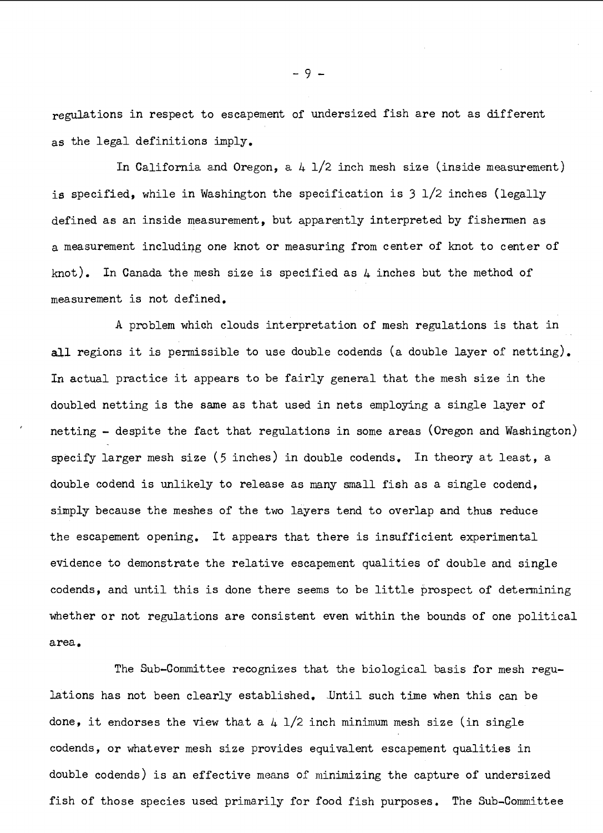regulations in respect to escapement of undersized fish are not as different as the legal definitions imply. as the legal definitions imply.

In California and Oregon, a  $4$   $1/2$  inch mesh size (inside measurement) is specified, while in Washington the specification is 3 1/2 inches (legally is specified, while in Washington the specification is **3** 1/2 inches (legally defined as an inside measurement, but apparently interpreted by fishermen as defined as an inside measurement, but qpparently interpreted by fishermen as a measurement includirg one knot or measuring from center of knot to center of a measurement includiqg one knot or measuring from center of knot to center of knot). In Canada the mesh size is specified as  $4$  inches but the method of measurement is not defined. measurement is not defined.

A problem which clouds interpretation of mesh regulations is that in all regions it is permissible to use double codends (a double layer of netting). In actual practice it appears to be fairly general that the mesh size in the In actual practice it appears to be fairly general that the mesh size in the doubled netting is the same as that used in nets employing a single layer of doubled netting is the same as that used in nets employing a single layer of netting - despite the fact that regulations in some areas (Oregon and Washington) netting - despite the fact that regula.tions in some areas (Oregon and Washington) specify larger mesh size (5 inches) in double codends. In theory at least, a specify larger mesh size (5 inches) in double codends. In theory at least, a double codend is unlikely to release as many small fish as a single codend, double codend is unlikely to release as many small fish as a single codend, simply because the meshes of the two layers tend to overlap and thus reduce simply because the meshes of the two layers tend to overlap and thus reduce the escapement opening. It appears that there is insufficient experimental the escapement opening. It appears that there is insufficient experimental evidence to demonstrate the relative escapement qualities of double and single codends, and until this is done there seems to be little prospect of determining codends, and until this is done there seems to be little prospect of determining whether or not regulations are consistent even within the bounds of one political area, area.

The Sub-Committee recognizes that the biological basis for mesh regu-The Sub-committee recognizes that the biological basis for mesh regulations has not been clearly established. JJntil such time when this can be lations has not been clearly established. Until such time when this can be done, it endorses the view that a  $4$   $1/2$  inch minimum mesh size (in single codends, or whatever mesh size provides equivalent escapement qualities in double codends) is an effective means of minimizing the capture of undersized double codends) is an effective means of minimizing the capture of undersized fish of those species used primarily for food fish purposes. The Sub-Committee fish of those species used primarily for food fish purposes. The Sub-committea

 $-9.$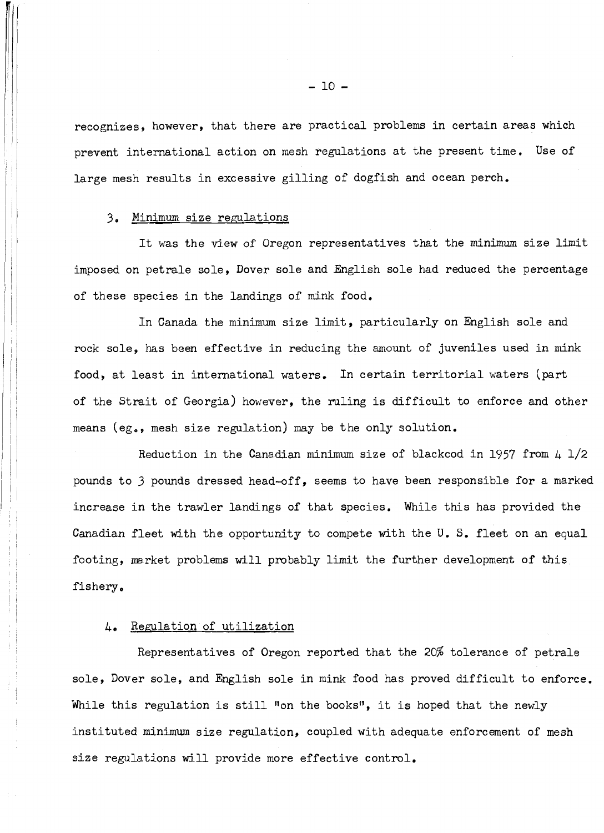recognizes, however, that there are practical problems in certain areas which recognizes, however, that there are practical problems in certain areas which prevent international action on mesh regulations at the present time. Use of prevent international action on mesh regulations at the present time. Use of large mesh results in excessive gilling of dogfish and ocean perch. large mesh results in excessive gilling of dogfish and ocean perch.

#### 3, Minimum size regulations 3, Minimum size remhtions

It was the view of Oregon representatives that the minimum size limit It was the view of Oregon representatives that the minimum size limit imposed on petrale sole, Dover sole and English sole had reduced the percentage of these species in the landings of mink food. of these species in the landings of mink food.

In Canada the minimum size limit, particularly on English sole and In Canada the minimum size limit, particularly on English sole and rock sole, has been effective in reducing the amount of juveniles used in mink food, at least in international waters. In certain territorial waters (part of the Strait of Georgia) however, the ruling is difficult to enforce and other means (eg., mesh size regulation) may be the only solution.

Reduction in the Canadian minimum size of blackcod in 1957 from 4 1/2 Reduction in the Canadian minimum size of blackcod in 1957 from 4 1/2 pounds to 3 pounds dressed head-off, seems to have been responsible for a marked pounds to 3 pounds dressed head-off, seems to have been responsible for a marked increase in the trawler landings of that species. While this has provided the increase in the trawler landings of that species. While this has provided the Canadian fleet with the opportunity to compete with the U.S. fleet on an equal footing, market problems will probably limit the further development of this fishery. fishery,

### 4, Regulation of utilization 4, Regulation of utilization

Representatives of Oregon reported that the 20% tolerance of petrale Representatives of Oregon reported that the 20% tolerance of petrale sole, Dover sole, and English sole in mink food has proved difficult to enforce. sole, Dover sole, and English sole in mink food has proved difficult to enforce. While this regulation is still "on the books", it is hoped that the newly instituted minimum size regulation, coupled with adequate enforcement of mesh instituted minimum size regulation, coupled with adequate enforcement of mesh size regulations will provide more effective control. size regulations will provide more effective control.

 $-10 -$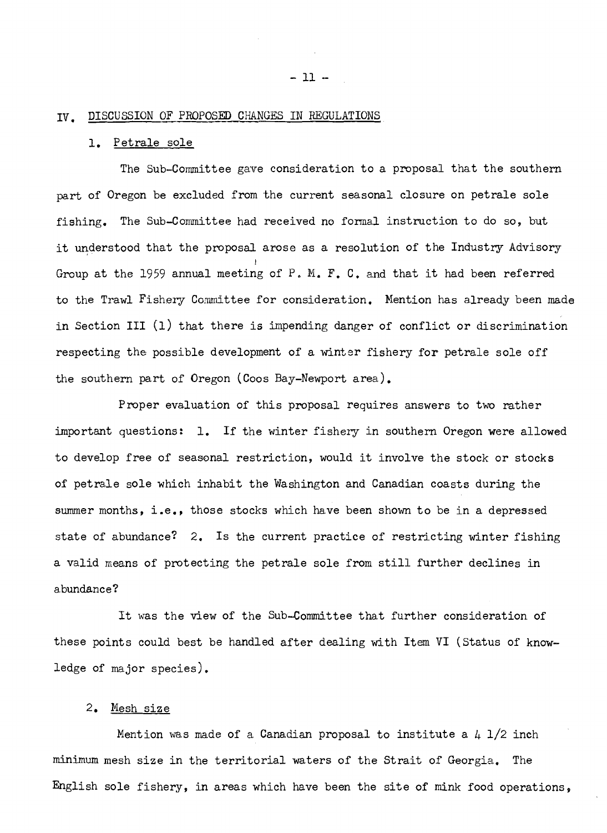#### IV. DISCUSSION OF PROPOSED CHANGES IN REGULATIONS

## 1. Petrale 1, Petrale sole

The Sub-Committee gave consideration to a proposal that the southern part of Oregon be excluded from the current seasonal closure on petrale sole fishing. The Sub-Committee had received no formal instruction to do so, but it understood that the proposal arose as a resolution of the Industry Advisory it understood that the proposal arose as a resolution of the Industry Advisory Group at the 1959 annual meeting of P. M. F. C. and that it had been referred Group at the 1959 annual meeting of P, M. **F,** C, and that it had been referred to the Trawl Fishery Committee for consideration. Mention has already been made in Section III (i) that there is impending danger of conflict or discrimination in Section I11 (1) that there is impending danger of conflict or discrimination respecting the possible development of a winter fishery for petrale sole off the southern part of Oregon (Coos Bay-Newport area). the southern part of Oregon (Coos Bay-Newport area), I

Proper evaluation of this proposal requires answers to two rather important questions: 1. If the winter fishery in southern Oregon were allowed important questions: 1, If the winter fishery in southern Oregon were allowed to develop free of seasonal restriction, would it involve the stock or stocks to develop free of seasonal restriction, would it involve the stock or stocks of petrale sole which inhabit the Washington and Canadian coasts during the of petrale sole which inhabit the Washington and Canadian coasts during the summer months, i.e., those stocks which have been shown to be in a depressed state of abundance? 2. Is the current practice of restricting winter fishing a valid means of protecting the petrale sole from still further declines in abundance?

It was the view of the Sub-Committee that further consideration of It was the view of the Sub-Committee that further consideration of these points could best be handled after dealing with Item VI (Status of know-these points could best be handled after dealing with Item VI (Status of knowledge of major species). ledge of ma.jor species),

#### 2. Mesh size 2. Mesh size

Mention was made of a Canadian proposal to institute a  $\mu$  1/2 inch minimum mesh size in the territorial waters of the Strait of Georgia. The minimum mesh size in the territorial waters of the Strait of Georgia. The English sole fishery, in areas which have been the site of mink food operations, English sole fishery, in areas which have been the site of mink food operations,

- 11 -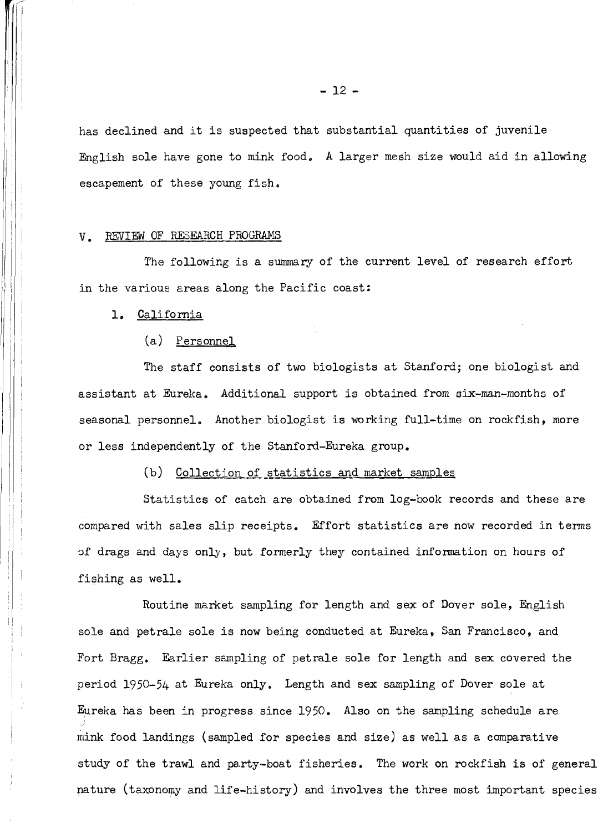has declined and it is suspected that substantial quantities of juvenile has declined and it is suspected that substantial quantities of juvenile English sole have gone to mink food. A larger mesh size would aid in allowing English sole have gone to mink food, A larger mesh size would aid in allowing escapement of these young fish.

#### **V. REVIEW OF RESEARCH PROGRAMS**

The following is a summary of the current level of research effort The following is a summary of the current level of research effort in the various areas along the Pacific coast:

1, California 1, California

#### (a) Personnel (a) Personnel

The staff consists of two biologists at Stanford; one biologist and The staff consists of two biologists at Stanford; one biologist and assistant at Eureka, Additional support is obtained from six-man-months of assistant at Eureka. Additional support is obtained from six-man-months of seasonal personnel. Another biologist is working full-time on rockfish, more or less independently of the Stanford-Eureka group. or less independently of the Stanford-Eureka group.

#### (b) Collection of statistics and market samples

Statistics of catch are obtained from log-book records and these are Statistics of catch are obtained from log-book records and these are compared with sales slip receipts. Effort statistics are now recorded in terms compared with sales slip receipts. Bfort statistics are now recorded in terms of drags and days only, but formerly they contained information on hours of 3f drags and days only, but formerly they contained information on hours of fishing as well. fishing as well.

Routine market sanpling for length and sex of Dover sole, English Routine market sampling for length and sex of Dover sole, English sole and petrale sole is now being conducted at Eureka, San Francisco, and sole and petrale sole is now being conducted at Eureka, San Francisco, and Fort Bragg, Earlier sampling of petrale sole for length and sex covered the Fort Bragg, Earlier sampling of petrale sole for length and sex covered the period 1950-54 at Eureka only, Length and sex sampling of Dover sole at period 1950-54 at Eureka only, Length and sex sampling of Dover sole at Eureka has been in progress since 1950. Also on the sampling schedule are Eureka has been in progress since 1950. Also on the sampling schedule are mink food landings (sampled for species and size) as well as a comparative **mink** food landings (sampled for species and size) as well as a comparative study of the trawl and party-boat fisheries. The work on rockfish is of general nature (taxonomy and life-history) and involves the three most important species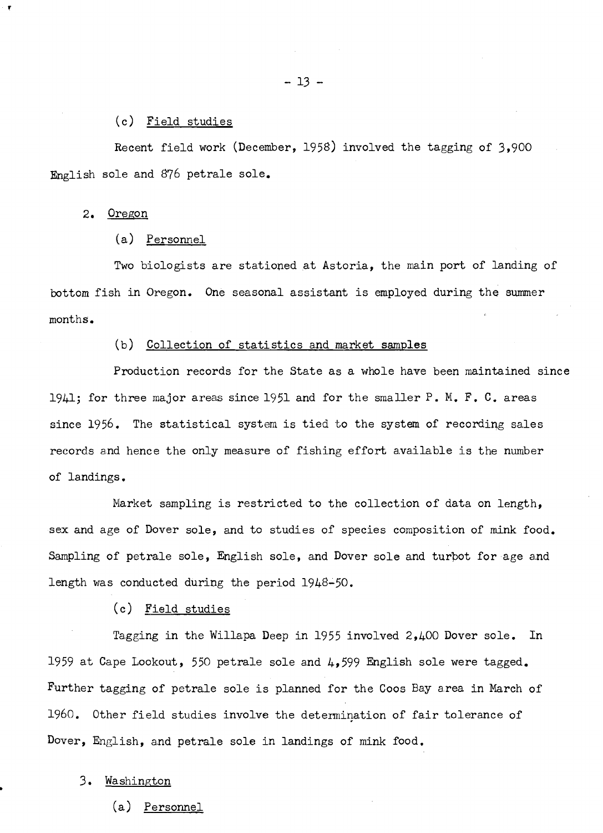#### (c) Field studies (c) Field studies

Recent field work (December, 1958) involved the tagging of 3,900 Recent field work (December, 1958) involved the tagging of 3,900 English sole and 876 petrale sole. English sole and 876 petrale sole.

#### 2. Oregon **2.** Oregon

#### (a) Personnel (a) Personnel

Two biologists are stationed at Astoria, the main port of landing of bottom fish in Oregon. One seasonal assistant is employed during the summer bottom fish in Oregon. One seasonal assistant is employed during the summer months. months.

#### (b) Collection of statistics and market samples (b) Collection of statistics and market samples

Production records for the State as a whole have been maintained since 1941; for three major areas since 1951 and for the smaller P. M. F. C. areas 1941; for three major areas since 1451 and for the smaller P. M. F. C. areas since 1956. The statistical system is tied to the system of recording sales records and hence the only measure of fishing effort available is the number records and hence the only measure of fishing effort axailable is the number of landings. of lamdings .

Market sampling is restricted to the collection of data on length, Market sampling is restricted to the collection of data on length, sex and age of Dover sole, and to studies of species composition of mink food. Sampling of petrale sole, English sole, and Dover sole and turbot for age and length was conducted during the period 1948-50. length was conducted during the period 1948-50.

#### (c) Field studies (c) Field studies

Tagging in the Willapa Deep in 1955 involved 2,400 Dover sole. In 1959 at Cape Lookout, 550 petrale sole and 4,599 English sole were tagged. Further tagging of petrale sole is planned for the Coos Bay area in March of Further tagging of petrale sole is planned for the Coos Bay area in March of 1960. Other field studies involve the determination of fair tolerance of 1960. Other field studies involve the determination of fair tolerance of Dover, English, and petrale sole in landings of mink food. Dover, English, and petrale sole in landings of **mink** food.

#### 3. Washington 3. Washington

(a) Personnel (a) Personnel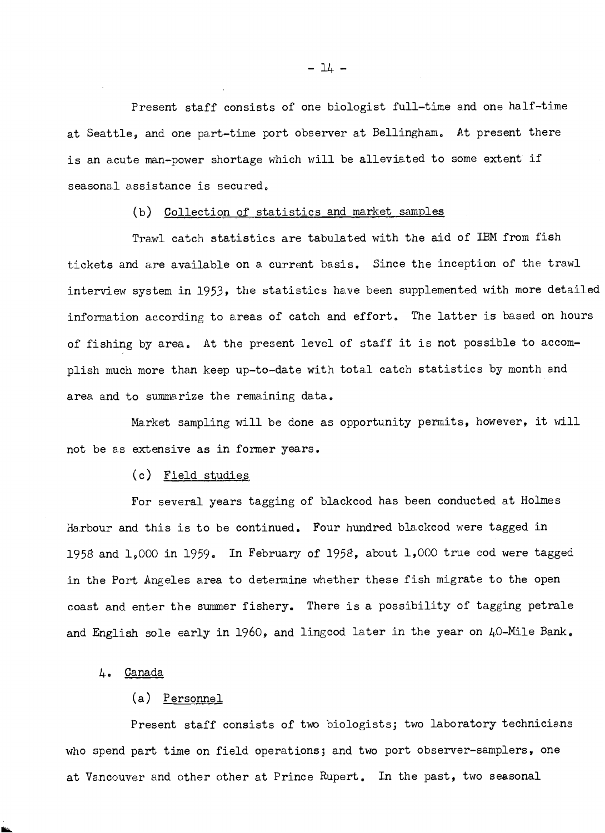Present staff consists of one biologist full-time and one half-time at Seattle, and one part-time port observer at Bellingham. At present there is an acute man-power shortage which will be alleviated to some extent if is an acute man-power shortage which will be alleviated to some extent if seasonal assistance is secured.

#### (b) Collection of statistics and market (b) Collection of statistics and market samples

Trawl catch statistics are tabulated with the aid of IBM from fish tickets and are available on a current basis. Since the inception of the trawl interview system in 1953, the statistics have been supplemented with more detailed information according to areas of catch and effort. The latter is based on hours information according to areas of catch and effort. The latter is based on hours of fishing by area. At the present level of staff it is not possible to accomplish much more than keep up-to-date with total catch statistics by month and area and to summarize the remaining data.

Market sampling will be done as opportunity permits, however, it will not be as extensive as in former years.

#### (c) Field studies (c) Field studies

For several years tagging of blackcod has been conducted at Holmes Harbour and this is to be continued. Four hundred blackcod were tagged in 1958 and 1,000 in 1959. In February of 1958, about 1,000 true cod were tagged in the Port Angeles area to determine whether these fish migrate to the open in the Port Angeles area to determine whether these fish migrate to the open coast and enter the summer fishery. There is a possibility of tagging petrale and English sole early in 1960, and lingcod later in the year on  $40$ -Mile Bank.

#### 4. Canada 4. Canada

#### (a) Personnel (a) Personnel

Present staff consists of two biologists; two laboratory technicians who spend part time on field operations; and two port observer-samplers, one at Vancouver and other other at Prince Rupert. In the past, two seasonal

 $-14 -$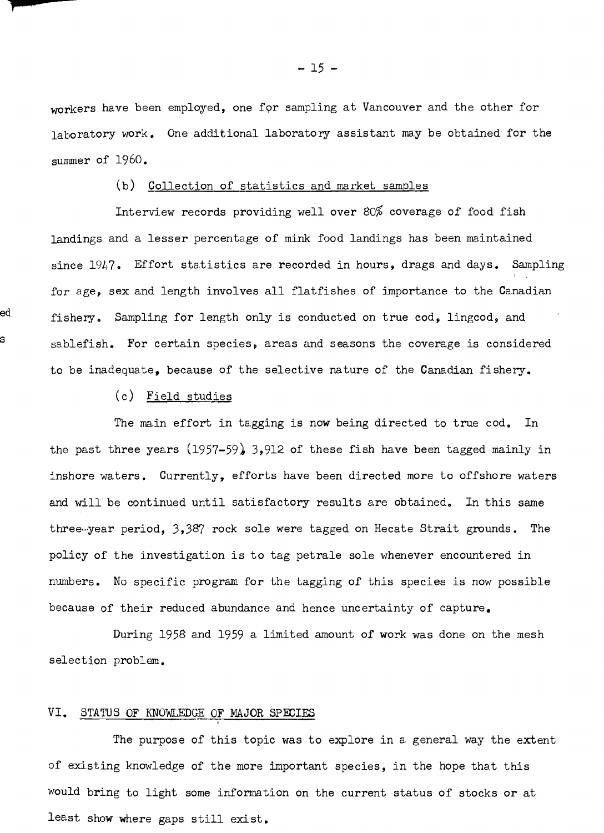workers have been employed, one for sampling at Vancouver and the other for laboratory work. One additional laboratory assistant may be obtained for the laboratory work. One additional laboratory assistant ma.y be obtained for the summer of 1960. summer of 1960.

#### (b) Collection of statistics and market samples (b) Collection of statistics and market samples

Interview records providing well over 80% coverage of food fish Interview records providing well over 80% coverage of food fish landings and a lesser percentage of mink food landings has been maintained since 1947. Effort statistics are recorded in hours, drags and days. Sampling since 1947. Effort statistics are recorded in hours, drags and days. Sampling for age, sex and length involves all flatfishes of importance to the Canadian  $^{\rm ed}$  fishery. Sampling for length only is conducted on true  ${\rm cod}_\bullet$  lingcod, and sablefish. For certain species, areas and seasons the coverage is considered s sablefish. For certain species, areas and seasons the coverage is considered to be inadequate, because of the selective nature of the Canadian fishery. to be inadequate, because of the selective nature of the Canadian fishery.

#### (c) Field studies (c) Field studies

The main effort in tagging is now being directed to true cod. In the past three years (1957–59) 3,912 of these fish have been tagged mainly in inshore waters. Currently, efforts have been directed more to offshore waters and will be continued until satisfactory results are obtained. In this same three-year period, 3,387 rock sole were tagged on Hecate Strait grounds. The policy of the investigation is to tag petrale sole whenever encountered in policy of the investigation is to tag petrale sole whenever encountered in numbers. No specific program for the tagging of this species is now possible numbers. No specific program for the tagging of this species is now possible because of their reduced abundance and hence uncertainty of capture. because of their reduced abundance and hence uncertainty of capture.

During 1958 and 1959 a limited amount of work was done on the mesh During 1958 and 1959 a limited amount of work was done on the mesh selection problem. selection problem.

#### VI. STATUS OF KNOLEDGEOF MAJOR SPECIES VI. STATUS OF KNOWLEDGKOF **MAJOR** SPECIES

The purpose of this topic was to explore in a general way the extent of existing knowledge of the more important species, in the hope that this would bring to light some information on the current status of stocks or at least show where gaps still exist. least show where gaps still exist,

 $- 15 -$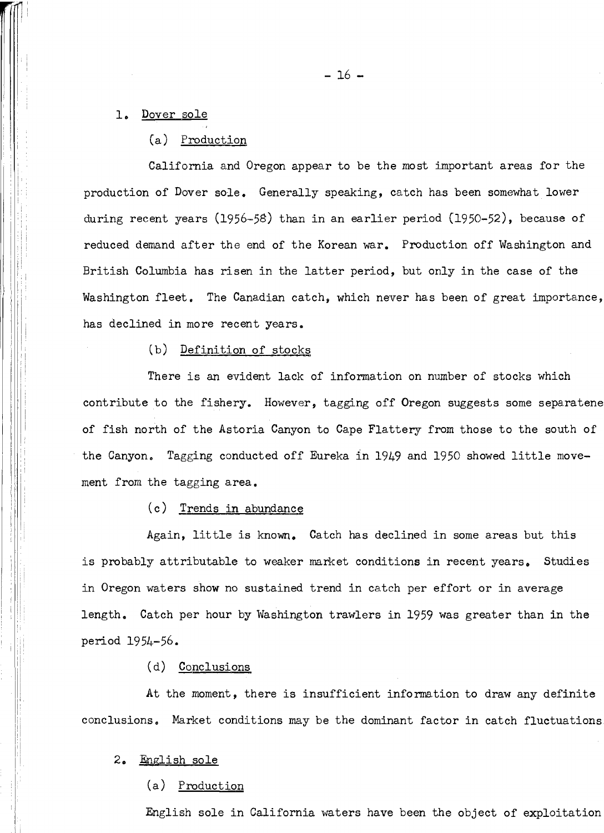# 1. <u>Dover sole</u>

(a) Production (a) Production

California and Oregon appear to be the most important areas for the California and Oregon appear to be the most important areas for the production of Dover sole. Generally speaking, catch has been somewhat lower production of Dover sole, Generally speaking, catch has been somewhat lower during recent years (1956–58) than in an earlier period (1950–52), because of reduced demand after the end of the Korean war. Production off Washington and British Columbia has risen in the latter period, but only in the case of the Washington fleet. The Canadian catch, which never has been of great importance, has declined in more recent years. has declined in more recent years.

#### (b) Definition of stocks

There is an evident lack of information on number of stocks which contribute to the fishery. However, tagging off Oregon suggests some separatene of fish north of the Astoria Canyon to Cape Flattery from those to the south of the Canyon. Tagging conducted off Eureka in 1949 and 1950 showed little movement from the tagging area.

#### (c) Trends in abundance (c) Trends in abundance

Again, little is known. Catch has declined in some areas but this is probably attributable to weaker market conditions in recent years. Studies is probably attributable to weaker market conditions in recent years, Studies in Oregon waters show no sustained trend in catch per effort or in average length. Catch per hour by Washington trawlers in 1959 was greater than in the period 1954-56. period 1954-56.

#### (d) Conclusions (d) Conclusions

At the moment, there is insufficient information to draw any definite At the moment, there is insufficient information to draw any definite conclusions. Market conditions may be the dominant factor in catch fluctuations conclusions, Market conditions may be the dominant factor in catch fluctuations

#### <sup>H</sup> 2. Fnglish sole 2, English sole

#### (a) Production (a) Production

English sole in California waters have been the object of exploitation English sole in California waters have been the object of exploitation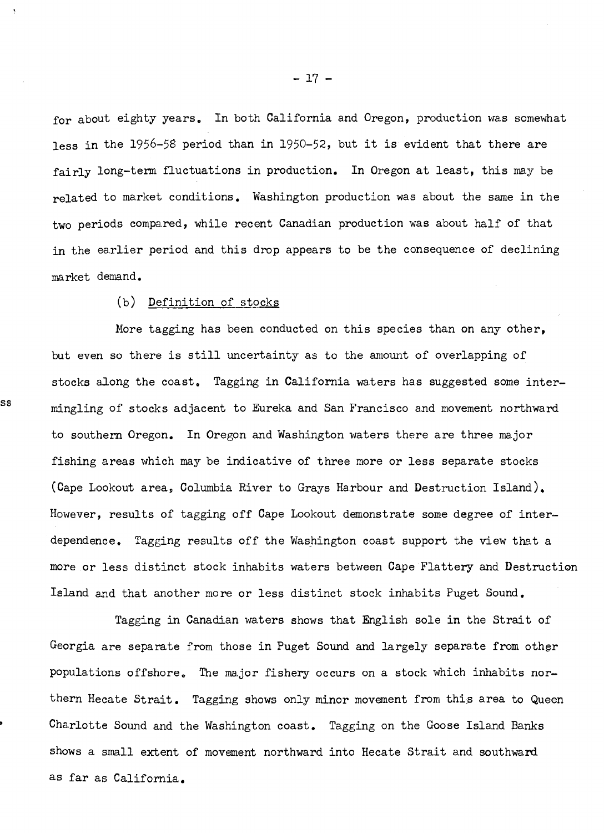for about eighty years. In both California and Oregon, production was somewhat less in the 1956-58 period than in 1950-52, but it is evident that there are fairly long-term fluctuations in production. In Oregon at least, this may be related to market conditions. Washington production was about the same in the two periods compared, while recent Canadian production was about half of that in the earlier period and this drop appears to be the consequence of declining in the earlier period and this drop appears to be the consequence of declining market demand. ma rket demand.

(b) Definition of stocks (b) Definition of stocks

More tagging has been conducted on this species than on any other, More tagging has been conducted on this species than on any other, but even so there is still uncertainty as to the amount of overlapping of but even so there is still uncertainty as to the amount of overlapping of stocks along the coast. Tagging in California waters has suggested some intermingling of stocks adjacent to Eureka and San Francisco and movement northward s s mingling of stocks adjacent to Eureka and San Francisco and movement northwa.rd to southern Oregon. In Oregon and Washington waters there are three major to southern Oregon. In Oregon and Washington waters there are three ma.jor fishing areas which may be indicative of three more or less separate stocks fishing areas which may be indicative of three more or less separate stocks (Cape Lookout area, Columbia River to Grays Harbour and Destruction Island). (Cape Lookout area, Columbia River to Grays Ha.rbour and Destruction Island). However, results of tagging off Cape Lookout demonstrate some degree of inter-However, results of tagging off Cape Lookout demonstrate some degree of interdependence. Tagging results off the Washington coast support the view that a dependence. Tagging results off the Washington coast support the view that a more or less distinct stock inhabits waters between Cape Flattery and Destruction more or less distinct stock inhabits waters between Cape Flattery and Destruction Island and that another more or less distinct stock inhabits Puget Sound, Island and that another more or less distinct stock inhabits Puget Sound.

Tagging in Canadian waters shows that English sole in the Strait of Georgia are separate from those in Puget Sound and largely separate from other populations offshore, The major fishery occurs on a stock which inhabits nor-populations offshore. The major fisherg occurs on a stock which inhabits northern Hecate Strait. Tagging shows only minor movement from this area to Queen  $\cdot$  Charlotte Sound and the Washington coast. Tagging on the Goose Island Banks shows a small extent of movement northward into Hecate Strait and southward shows a small extent of movement northward into Hecate Strait and southward as far as California. as far as California.

- 17 - - 17 -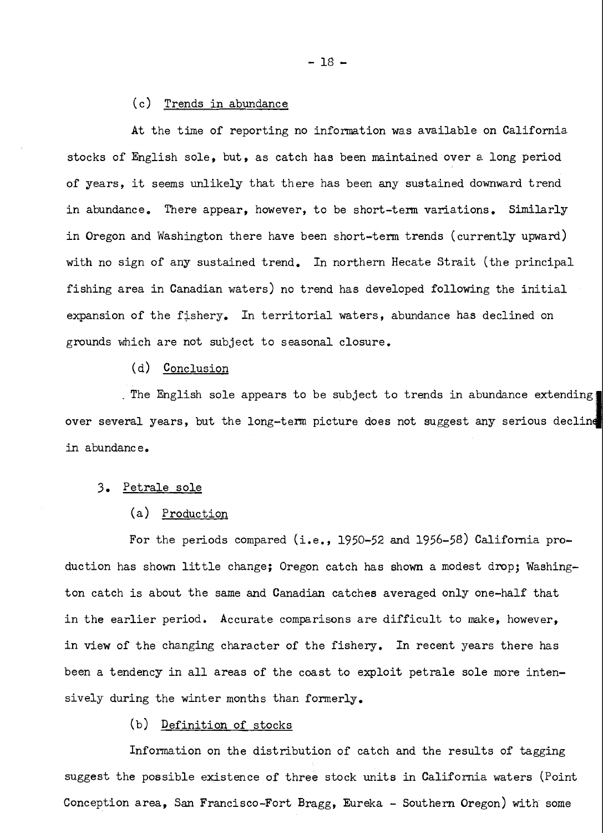#### (c) Trends in abundance (c) Trends in abundance

At the time of reporting no information was available on California. stocks of English sole, but, as catch has been maintained over a long period stocks of English sole, but, as catch has been maintained over a. long period of years, it seems unlikely that there has been any sustained downward trend of years, it seems unlikely that there has been any sustained downward trend in abundance. There appear, however, to be short-term variations. Similarly  $\qquad \qquad \mid$ in Oregon and Washington there have been short-term trends (currently upward)  $\qquad$ with no sign of any sustained trend. In northern Hecate Strait (the principal with no sign of any sustained trend. In northern Hecate Strait (the principal fishing area in Canadian waters) no trend has developed following the initial  $\qquad \qquad \mid$ expansion of the fishery. In territorial waters, abundance has declined on grounds which are not subject to seasonal closure. grounds which are not subject to seasonal closure.

(d) Conclusion (d) Conclusion

The English sole appears to be subject to trends in abundance extending , The English sole appears to be subject to trends in abundamce extending over several years, but the long-term picture does not suggest any serious decline in abundance.

#### 3. Petrale sole **3.** Petrale sole

#### (a) Production (a) Production

For the periods compared (i.e., 1950-52 and 1956-58) California production has shown little change; Oregon catch has shown a modest drop; Washing-duction has shown little change; Oregon catch has shown a modest drop; Washington catch is about the same and Canadian catches averaged only one-half that in the earlier period. Accurate comparisons are difficult to make, however, in the earlier period. Accurate comparisons are difficult to make, however, in view of the changing character of the fishery. In recent years there has been a tendency in all areas of the coast to exploit petrale sole more inten-been a tendency in all areas of the coast to exploit petrale sole more intensively during the winter months than formerly. sively during the winter months than formerly.

#### (b) <u>Definition of stocks</u>

Information on the distribution of catch and the results of tagging 1nforma.tion on the distribution of catch and the results of tagging suggest the possible existence of three stock units in California waters (Point  $\qquad$ Conception area, San Francisco-Fort Bragg, Eureka - Southern Oregon) with some Conception a.rea , San Francisco-Fort Bragg , Eureka - Southern Oregon) with some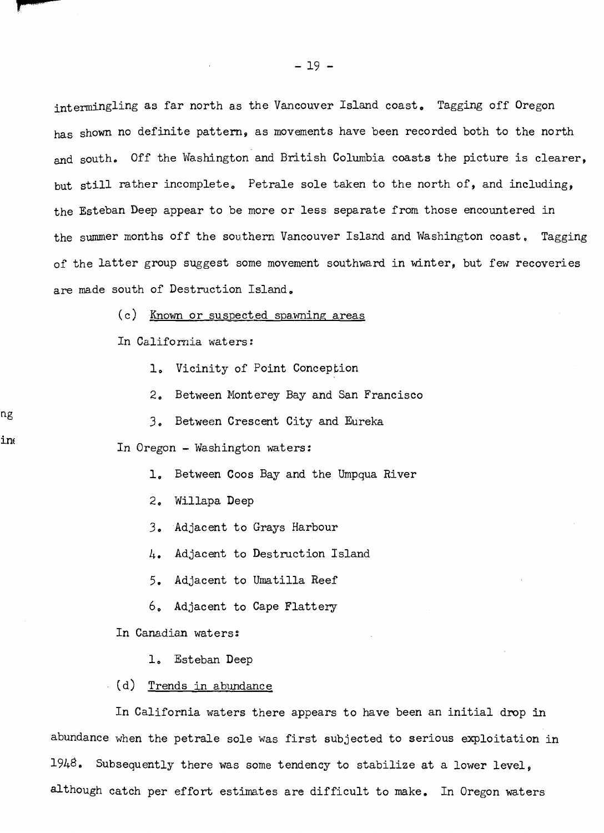intermingling as far north as the Vancouver Island coast. Tagging off Oregon has shown no definite pattern, as movements have been recorded both to the north has shown no definite pattern, as movements have been recorded both to the north and south. Off the Washington and British Columbia coasts the picture is clearer, but still rather incomplete. Petrale sole taken to the north of, and including, the Esteban Deep appear to be more or less separate from those encountered in the Esteban Deep appear to be more or less separste from those encountered in the summer months off the southern Vancouver Island and Washington coast. Tagging of the latter group suggest some movement southward in winter, but few recoveries of the latter group suggest some movement southward in winter, but few recoveries are made south of Destruction Island, are made south of Destruction Island.

(c) Known or suspected spawning areas

In California waters:

ng

in

1, Vicinity of Point Conception 1, Vicinity of Point Conception

2, Between Monterey Bay and San Francisco 2, Between Monterey Bay and San Francisco

3, Between Crescent City and Eureka *3,* Between Crescent City and Eureka

In Oregon - Washington waters: In Oregon - Washington waters:

1, Between Coos Bay and the Umpqua River 1, Between Coos Bay and the Umpqua River

2, Willapa Deep 2, Willapa Deep

3, Adjacent to Grays Harbour 3. Adjacent to Grays Harbour

4, Adjacent to Destruction Island *l+.* Adjacent to Destruction Island

5. Adjacent to Umatilla Reef

6, Adjacent to Cape Flattery 6, Adjacent to Cape Flattery

In Canadian waters:

1, Esteban Deep 1, Esteban Deep

(d) Trends in abundance (d) Trends in abundance

In California waters there appears to have been an initial drop in abundance when the petrale sole was first subjected to serious exploitation in abundance when the petrale sole was first subjected to serious exploitation in  $1948$ . Subsequently there was some tendency to stabilize at a lower level, although catch per effort estimates are difficult to make, In Oregon waters although catch per effort estimates are difficult to make. In Oregon waters

 $-19 -$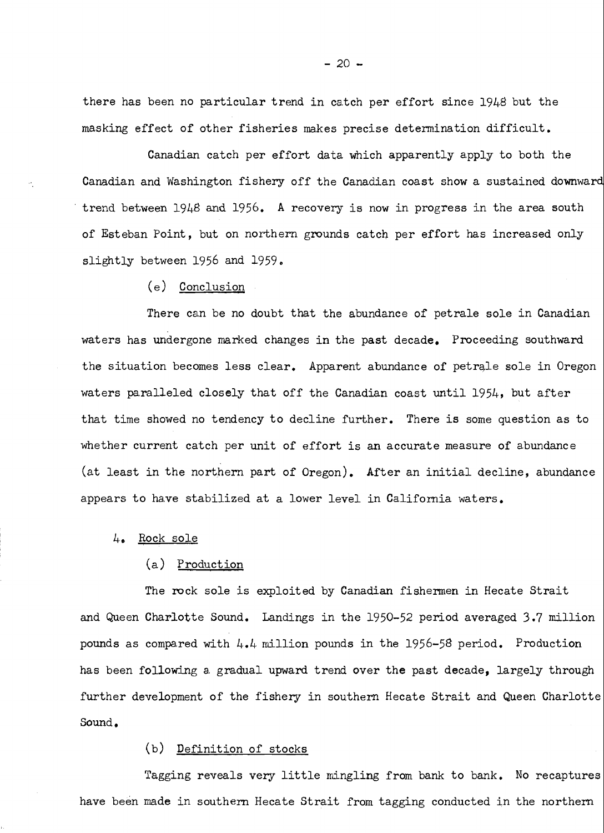there has been no particular trend in catch per effort since 1948 but the masking effect of other fisheries makes precise determination difficult. masking effect of other fisheries makes precise determination difficult.

Canadian catch per effort data which apparently apply to both the Canadian and Washington fishery off the Canadian coast show a sustained downward Canadian and Washington fishery off the Canadian coast show a sustained downward trend between  $1948$  and  $1956$ . A recovery is now in progress in the area south of Esteban Point, but on northern grounds catcb per effort has increased only of Esteban Point, but on northern grounds catch per effort has increased only slightly between 1956 and 1959. slightly between 1956 and 1959,

(e) Conclusion (e) Conclusion

There can be no doubt that the abundance of petrale sole in Canadian There can be no doubt that the abundance of petrale sole in Canadian waters has undergone marked changes in the past decade. Proceeding southward the situation becomes less clear. Apparent abundance of petrale sole in Oregon | waters paralleled closely that off the Canadian coast until 1954, but after that time showed no tendency to decline further. There is some question as to whether current catch per unit of effort is an accurate measure of abundance (at least in the northern part of Oregon). After an initial decline, abundance (at least in the northern part of Oregon). After an initial decline, abundance appears to have stabilized at a lower level in California waters.

4. <u>Rock sole</u>

#### (a) Production

The rock sole is exploited by Canadian fishermen in Hecate Strait The rock sole is exploited by Canadian fishermen in Hecate Strait and Queen Charlotte Sound. Landings in the 1950-52 period averaged 3.7 million pounds as compared with  $4.4$  million pounds in the 1956-58 period. Production has been following a gradual upward trend over the past decade, largely through  $\vert$ further development of the fishery in southern Hecate Strait and Queen Charlotte Sound. Sound,

#### (b) Definition of stocks (b) Definition of stocks

Tagging reveals very little mingling from bank to bank. No recaptures Tagging reveals very little mingling from bank to bank. No recaptures have been made in southern Hecate Strait from tagging conducted in the northern have been made in southern Hecate Strait from tagging conducted in the northern

 $-20 -$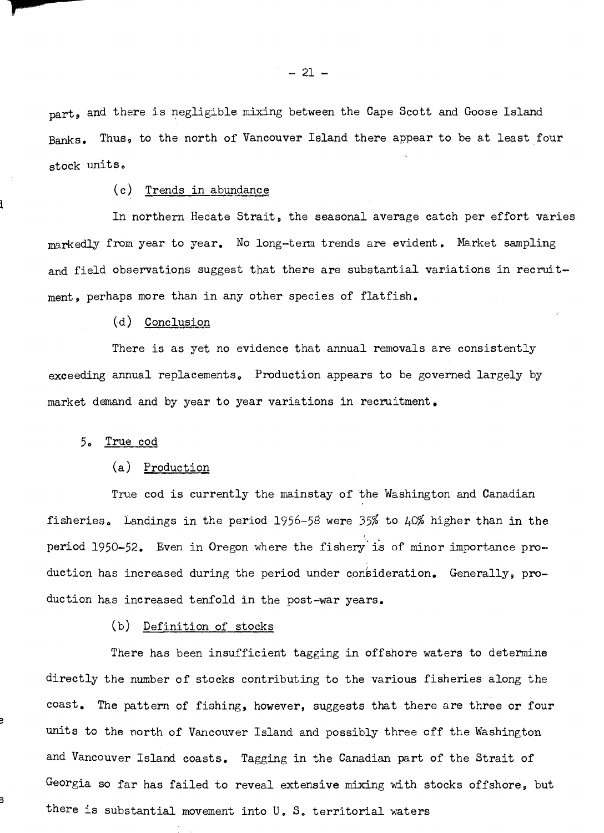$_{\text{part}}$ , and there is negligible mixing between the Cape Scott and Goose Island Banks. Thus, to the north of Vancouver Island there appear to be at least four stock units. stock units,

#### (c) Trends in abundance

In northern Hecate Strait, the seasonal average catch per effort varies In northern Heeate Strait, the seasonal average catch per effort varies markedly from year to year. No long-term trends are evident. Market sampling and field observations suggest that there are substantial variations in recruit-and field observations suggest that there are substantial variations in recruitment, perhaps more than in any other species of flatfish.

(d) Conclusion (d) Conclusion

There is as yet no evidence that annual removals are consistently There is as yet no evidence that annual removals are consistently exceeding annual replacements. Production appears to be governed largely by exceeding annual replacements, Production appears to be governed largely by market demand and by year to year variations in recruitment, market demand and by year to year variations in recruitment.

#### 5. <u>True cod</u>

**5** 

**S** 

#### (a) Production (a) Production

True cod is currently the mainstay of the Washington and Canadian fisheries. Landings in the period 1956-58 were 35% to 40% higher than in the period 1950-52. Even in Oregon where the fishery is of minor importance production has increased during the period under consideration. Generally, production has increased tenfold in the post-war years. duction hats increased tenfold in the post-war years.

#### (b) Definition of stocks (b) Definition of stocks

There has been insufficient tagging in offshore waters to determine There has been insufficient tagging in offshore waters to determine directly the number of stocks contributing to the various fisheries along the  $\texttt{cost.}$  The pattern of fishing, however, suggests that there are three or four units to the north of Vancouver Island and possibly three off the Washington units to the north of Vancouver Island and possibly three off the NBshington and Vancouver Island coasts. Tagging in the Canadian part of the Strait of and Vancouver Island coasts. Tagging in the Canadian part of the Strait of Georgia so far has failed to reveal extensive mixing with stocks offshore, but there is substantial movement into U, S. territorial waters there is substantial movement into U, **So** territorial waters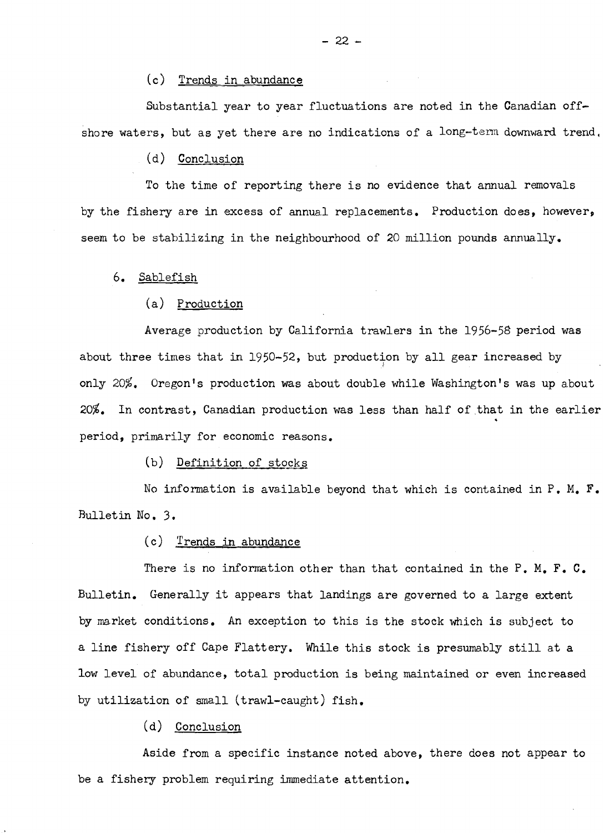#### (c) Trends in abundance (c) Trends in abundance

Substantial year to year fluctuations are noted in the Canadian off-Substantial year to year fluctuations are noted in the Canadian offshore waters, but as yet there are no indications of a long-term downward trend,

#### (d) Conclusion (d) Conclusion

To the time of reporting there is no evidence that annual removals To the time of reporting there is no evidence that annual removals by the fishery are in excess of annual replacements. Production does, however, by the fishery are in excess of annual replacements. Production does, however, seem to be stabilizing in the neighbourhood of 20 million pounds annually. seem to be stabilizing in the neighbourhood of 20 million pounds annually.

#### 6. Sablefish 6. Sablefish

#### (a) Production (a) Production

Average production by California trawlers in the 1956-58 period was about three times that in 1950-52, but production by all gear increased by only 20%. Oregon's production was about double while Washington's was up about 20%. In contrast, Canadian production was less than half of that in the earlier **20%.** In contrast, Canadian production was less than half of that in the earlier period, primarily for economic reasons. period, primarily for economic reasons.

#### (b) Definition of stocks (b) Definition of stocks

No information is available beyond that which is contained in P. M. F. Bulletin No, 3. Bulletin No, 3.

#### (c) Trends in abundance (c) Trends in abundance

There is no information other than that contained in the P. M, F. C. There is no information other than that contained in the P. M, **F.** C. Bulletin. Generally it appears that landings are governed to a large extent Bulletin. Generally it appears that landings are governed to a large extent by market conditions. An exception to this is the stock which is subject to by market conditions. An exception to this is the stock which is subject to a line fishery off Cape Flattery. While this stock is presumably still at <mark>a</mark> low level of abundance, total production is being maintained or even increased low level of abundance, total production is being maintained or even increased by utilization of small (trawl-caught) fish.

(d) Conclusion (d) Conclusion

Aside from a specific instance noted above, there does not appear to Aside from a specific instance noted above, there does not appear to be a fishery problem requiring immediate attention, be a fishery problem requiring immediate attention,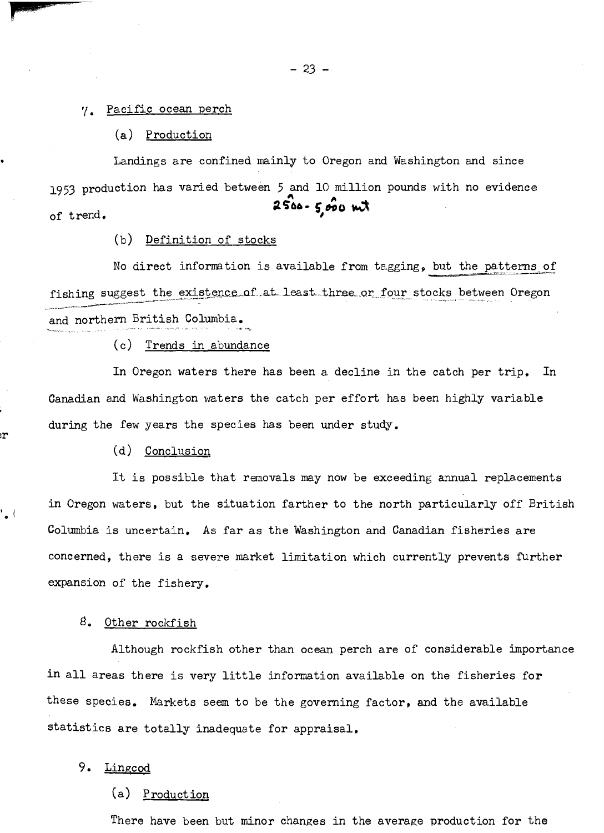$\gamma$ . <u>Pacific ocean perch</u>

(a) Production (a) Production

Landings are confined mainly to Oregon and Washington and since Lamdings are confined mainly to Oregon and Washington and since 1953 production has varied between 5 and 10 million pounds with no evidence 1953 production has varied between 5 and 10 million pounds with no evidence of trend. of trend. **<sup>6</sup>** 2500- 5,000 mt

(b) Definition of stocks (b) Definition of stocks

No direct information is available from tagging, but the patterns of fishing suggest the existence of at least three or four stocks between Oregon **.** and northern British Columbia.

(c) Trends in abundance (c) Trends in abundance

In Oregon waters there has been a decline in the catch per trip. In Canadian and Washington waters the catch per effort has been highly variable Canadian and Washington waters the catch per effort has been highly variable during the few years the species has been under study.

(d) Conclusion (d) Conclusion

:r

**I.** 1

It is possible that removals may now be exceeding annual replacements in Oregon waters, but the situation farther to the north particularly off British in Oregon waters, but the situation farther to the north particularly off British Columbia is uncertain. As far as the Washington and Canadian fisheries are concerned, there is a severe market limitation which currently prevents further concerned, there is a severe market limitation which currently prevents further expansion of the fishery. expansion of the fishery.

8. Other rockfish

Although rockfish other than ocean perch are of considerable importance Although rockfish other tham ocean perch are of considerable importance in all areas there is very little information available on the fisheries for these species. Markets seem to be the governing factor, and the available statistics are totally inadequate for appraisal.

9. Lingcod 9. Lingcod

(a) Production (a) Production

There have been but minor changes in the average production for the There have been but minor changes in the average production for the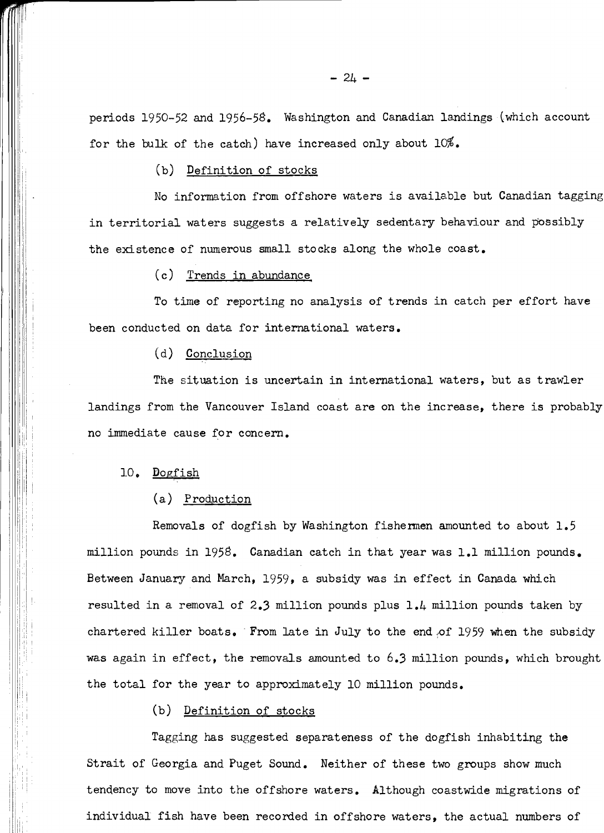periods 1950-52 and 1956-58. Washington and Canadian landings (which account periods 1950-52 and 1956-5G. Washington and Canadian landings (which account for the bulk of the catch) have increased only about 10%. for the bulk of the catch) have increased only about 10%.

(b) Definition of stocks (b) Definition of stocks

No information from offshore waters is available but Canadian tagging in territorial waters suggests a relatively sedentary behaviour and possibly the existence of numerous small stocks along the whole coast.

(c) Trends in abundance ( c) Trends in abundance

To time of reporting no analysis of trends in catch per effort have been conducted on data for international waters. been conducted on data for international waters.

(d) Conclusion

The situation is uncertain in international waters, but as trawler The situation is uncertain in international waters, but as trawler landings from the Vancouver Island coast are on the increase, there is probably no immediate cause for concern.

#### 10. Dogfish

#### (a) Production (a) Production

Removals of dogfish by Washington fishermen amounted to about 1.5 Removals of dogfish by Washington fishermen amounted to about 1.5 million pounds in 1958. Canadian catch in that year was 1.1 million pounds. Between January and March, 1959, a subsidy was in effect in Canada which Between January and March, 1959, a subsidy was in effect in Canada which resulted in a removal of 2.3 million pounds plus 1.4 million pounds taken by resulted in a removal of 2.3 million pounds plus 1.4 million pounds taken by chartered killer boats. From late in July to the end of 1959 when the subsidy was again in effect, the removals amounted to  $6.3$  million pounds, which brought the total for the year to approximately 10 million pounds. the total for the year to approximately 10 million pounds.

#### (b) Definition of stocks (b) Definition of stocks

Tagging has suggested separateness of the dogfish inhabiting the Strait of Georgia and Puget Sound. Neither of these two groups show much tendency to move into the offshore waters. Although coastwide migrations of individual fish have been recorded in offshore waters, the actual numbers of individual fish have been recorded in offshore waters, the actual numbers of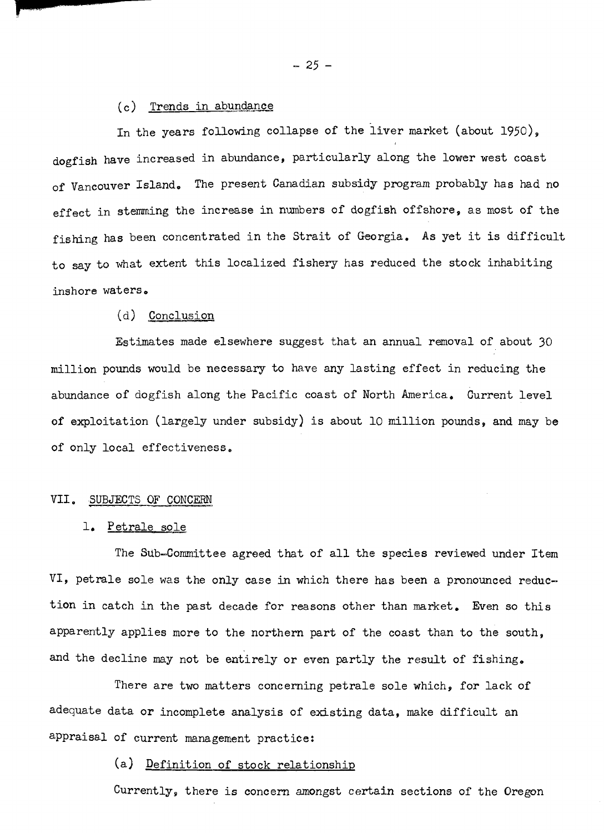(c) <u>Trends in abundance</u>

In the years following collapse of the liver market (about 1950), dogfish have increased in abundance, particularly along the lower west coast dogfish have increased in abundance, pasrticularly along the lower west coast of Vancouver Island. The present Canadian subsidy program probably has had no effect in stemming the increase in numbers of dogfish offshore, as most of the effect in stemming the increase in numbers of dogfish offshore, as most of the fishing has been concentrated in the Strait of Georgia. As yet it is difficult fishing has been concentrated in the Strait of Georgia. As yet it is difficult to say to what extent this localized fishery has reduced the stock inhabiting to say to what extent this localized fishery has seduced the stock inhabiting inshore waters, inshore waters

#### (d) Conclus (d) Conclusion

Estimates made elsewhere suggest that an annual removal of about 30 million pounds would be necessary to have any lasting effect in reducing the million pounds would be necessary to have any lasting effect in reducing the abundance of dogfish along the Pacific coast of North America. Current level of exploitation (largely under subsidy) is about 10 million pounds, and may be of exploitation (largely under subsidy) is about 10 million pounds, and **may** be of only local effectiveness, of only local effectiveness ,

#### VII, SUBJECTS OF CONCERN VII. SUBJECTS OF CONCERN

# 1. <u>Petrale sole</u>

The SUb-Conmiittee agreed that of all the species reviewed under Item The Sub-Committee agreed that of all the species reviewed under Item VI, petrale sole was the only case in which there has been a pronounced reduc-VI, petrale sole was the only case in which there has been a pronounced reduction in catch in the past decade for reasons other than market. Even so this apparently applies more to the northern part of the coast than to the south, and the decline may not be entirely or even partly the result of fishing.

There are two matters concerning petrale sole which, for lack of There are two matters concerning petrale sole which, for lack of adequate data or incomplete analysis of existing data, make difficult an appraisal of current management practice: appraisal of current management practice :

#### (a) Definition of stock relationship (a) Definition of stock relationship

Currently, there is concern amongst certain sections of the Oregon Currently, there is concern amongst certain sections of the Oregon

 $-25 -$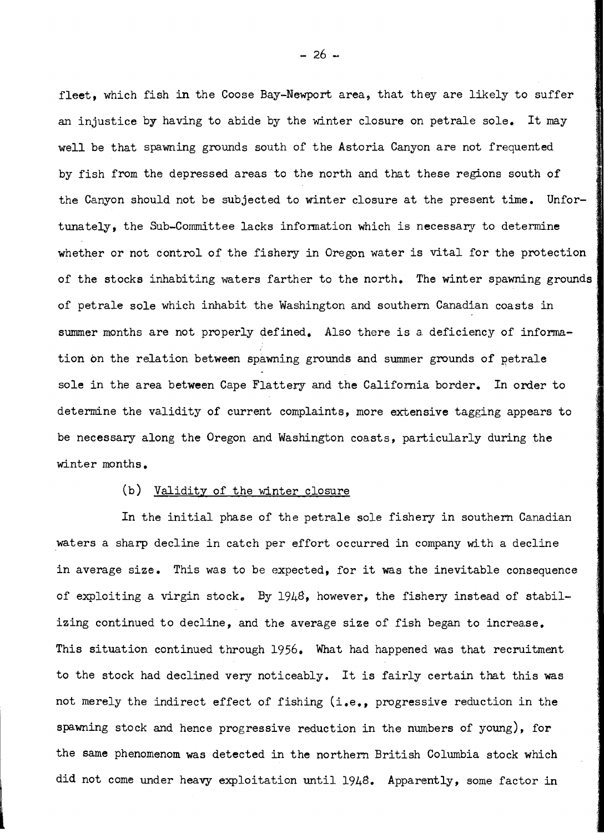fleet, which fish in the Coose Bay-Newport area, that they are likely to suffer fleet, which fish in the Coose Bay-Newport area, that they are likely to suffer an injustice by having to abide by the winter closure on petrale sole. It may an injustice by having to abide by the winter closure on petrale sole. It may well be that spawning grounds south of the Astoria Canyon are not frequented well be that spawning grounds south of the Astoria Canyon are not frequented by fish from the depressed areas to the north and that these regions south of by fish from the depressed areas to the north and that these regions south of the Canyon should not be subjected to winter closure at the present time. Unfortunately, the Sub-Committee lacks information which is necessary to determine whether or not control of the fishery in Oregon water is vital for the protection of the stocks inhabiting waters farther to the north. The winter spawning grounds of petrale sole which inhabit the Washington and southern Canadian coasts in of petrale sole which inhabit the Washington and southern Canadian coasts in summer months are not properly defined. Also there is a deficiency of information on the relation between spawning grounds and summer grounds of petrale  $\qquad \qquad$ sole in the area between Cape Flattery and the California border. In order to  $\blacksquare$ determine the validity of current complaints, more extensive tagging appears to determine the validity of current complaints, more extensive tagging appears to be necessary along the Oregon and Washington coasts, particularly during the  $\qquad$ winter months. winter months.

#### (b) Validity of the winter closure (b) Validity of the winter closure

In the initial phase of the petrale sole fishery in southern Canadian waters a sharp decline in catch per effort occurred in company with a decline waters a sharp decline in catch per effort occurred in company with a decline in average size. This was to be expected, for it was the inevitable consequence of exploiting a virgin stock. By 1948, however, the fishery instead of stabilizing continued to decline, and the average size of fish began to increase. This situation continued through 1956. What had happened was that recruitment  $\qquad$ to the stock had declined very noticeably. It is fairly certain that this was to the stock had declined very noticeably. It is fairly certain that this was not merely the indirect effect of fishing (i.e., progressive reduction in the  ${\tt spawning}$  stock and hence progressive reduction in the numbers of young), for  $\qquad \quad \, |$ the same phenomenom was detected in the northern British Columbia stock which did not come under heavy exploitation until 1948. Apparently, some factor in  $\qquad \qquad \mid$ 

 $-26$   $-$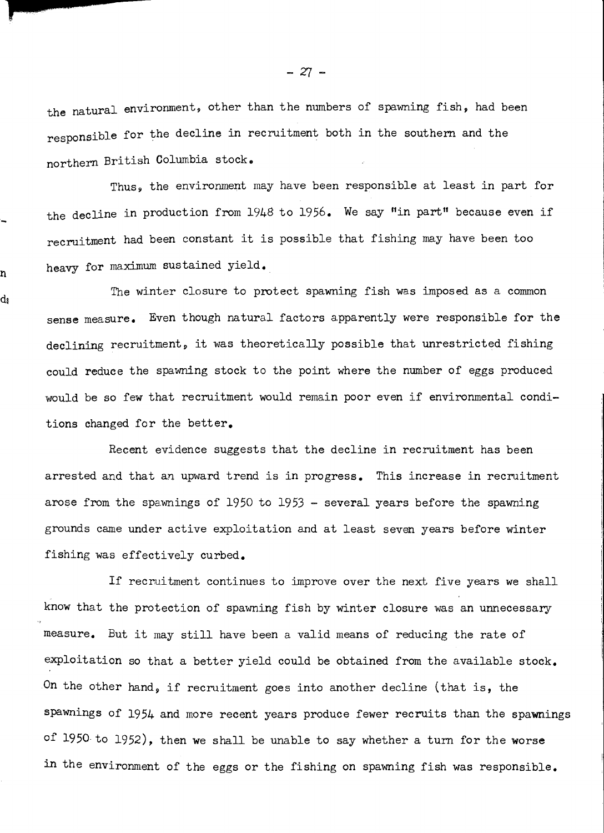the natural environment, other than the numbers of spawning fish, had been the natural environment, other than the numbers of spawning fish, had been responsible for the decline in recruitment both in the southern and the responsible for the decline in recruitment both in the southern and the northern British Columbia stock, British Columbia stock.

Thus, the environment may have been responsible at least in part for Thus, the environment may have been responsible at least in part for the decline in production from 1948 to 1956. We say "in part" because even if recruitment had been constant it is possible that fishing may have been too recmitmant had been constant it is possible that fishing may have been too heavy for maximum sustained yield. heavy for maximum sustained yield.

h

d١

The winter closure to protect spawning fish was imposed as a common sense measure. Even though natural factors apparently were responsible for the declining recruitment, it was theoretically possible that unrestricted fishing declining recruitment, it was theoretically possible that unrestricted fishing could reduce the spawning stock to the point where the number of eggs produced would be so few that recruitment would remain poor even if environmental conditions changed for the better. tions changed for the better.

Recent evidence suggests that the decline in recruitment has been Recent evidence suggests that the decline in recruitment has been arrested and that an upward trend is in progress. This increase in recruitment arrested and that an upward trend is in progress. This increase in recruitment arose from the spawnings of 1950 to 1953 - several years before the spawning arose from the spawnings of 1950 to 1953 - several years before the spawning grounds came under active exploitation and at least seven years before winter grounds came under active exploitation and at least seven years before winter fishing was effectively curbed. fishing was effectively curbed.

If recruitment continues to improve over the next five years we shall  $\qquad \qquad \mid$ know that the protection of spawning fish by winter closure was an unnecessary know that the protection of spawning fish by winter closure was an unnecessary measure. But it may still have been a valid means of reducing the rate of measure. But it may still have been a valid means of reducing the rate of exploitation so that a better yield could be obtained from the available stock. On the other hand, if recruitment goes into another decline (that is, the On the other hand, if recruitment goes into another decline (that is, the Spawnings of 1954 and more recent years produce fewer recruits than the spawnings spawnings of 1954 and more recent years produce fewer recruits than the spawnings of 1950 to 1952), then we shall be unable to say whether a turn for the worse in the environment of the eggs or the fishing on spawning fish was responsible. **in** the environment of the eggs or the fishing on spawning fish was responsible.

 $-27 -$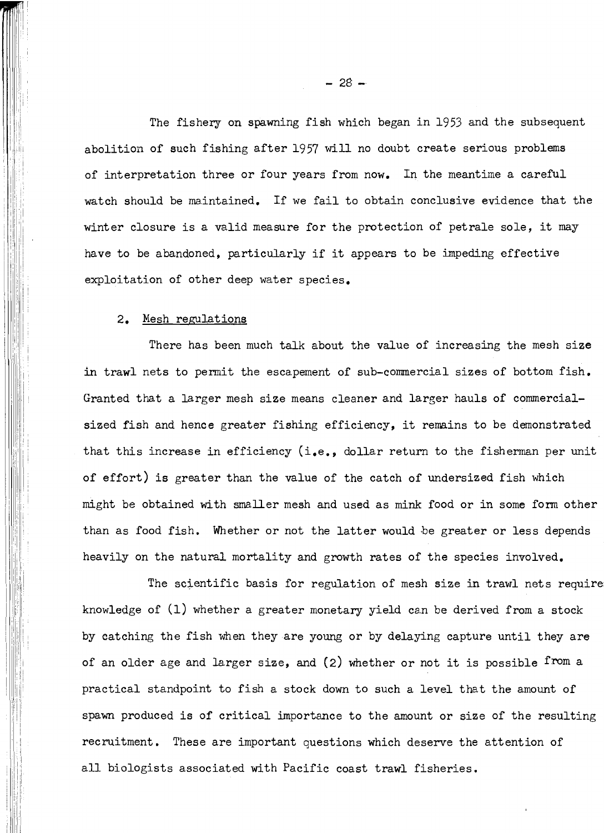The fishery on spawning fish which began in 1953 and the subsequent The fishery on spawning fish which began in 1953 and the subsequent abolition of such fishing after 1957 will no doubt create serious problems abolition of such fishing after 1957 will no doubt create serious problems of interpretation three or four years from now. In the meantime a careful watch should be maintained. If we fail to obtain conclusive evidence that the watch should be maintained. If we fail to obtain conclusive evidence that the winter closure is a valid measure for the protection of petrale sole, it may winter closure is a valid measure for the protection of petrale sole, it may have to be abandoned, particularly if it appears to be impeding effective have to be abandoned, particularly if it appears to be impeding effective exploitation of other deep water species.

#### 2. Mesh regulations 2, Mesh regulations

There has been much talk about the value of increasing the mesh size There has been much talk about the value of increasing the mesh size in trawl nets to permit the escapement of sub-commercial sizes of bottom fish. Granted that a larger mesh size means cleaner and larger hauls of commercial-Granted that a larger mesh size means cleaner and larger hauls of commercialsized fish and hence greater fishing efficiency, it remains to be demonstrated sized fish and hence greater fishing efficiency, it remains to be demonstrated that this increase in efficiency (i.e., dollar return to the fisherman per unit of effort) is greater than the value of the catch of undersized fish which of effort) is greater than the value of the catch of undersized fish which might be obtained with smaller mesh and used as mink food or in some form other might be obtained with sma.Uer mesh and used as mink food or in some form other than as food fish. Whether or not the latter would be greater or less depends than as food fish. Whether or not the latter would be greater or less depends heavily on the natural mortality and growth rates of the species involved. heavily on the natural mortality and growth rates of the species involved.

The scientific basis for regulation of mesh size in trawl nets require The scientific basis for regulation of mesh size in trawl nets require knowledge of (1) whether a greater monetary yield can be derived from a stock knowledge of (1) whether a greater monetary yield can be derived from a stock by catching the fish when they are young or by delaying capture until they are of an older age and larger size, and (2) whether or not it is possible from a of an older age and larger size, and (2) whether or not it is possible from a practical standpoint to fish a stock down to such a level that the amount of practical standpoint to fish a stock down to such a level that the amount of spawn produced is of critical importance to the amount or size of the resulting spawn produced is of critical importance to the amount or size of the resulting recruitment. These are important questions which deserve the attention of all biologists associated with Pacific coast trawl fisheries. all biologists associated with Pacific coast trawl fisheries.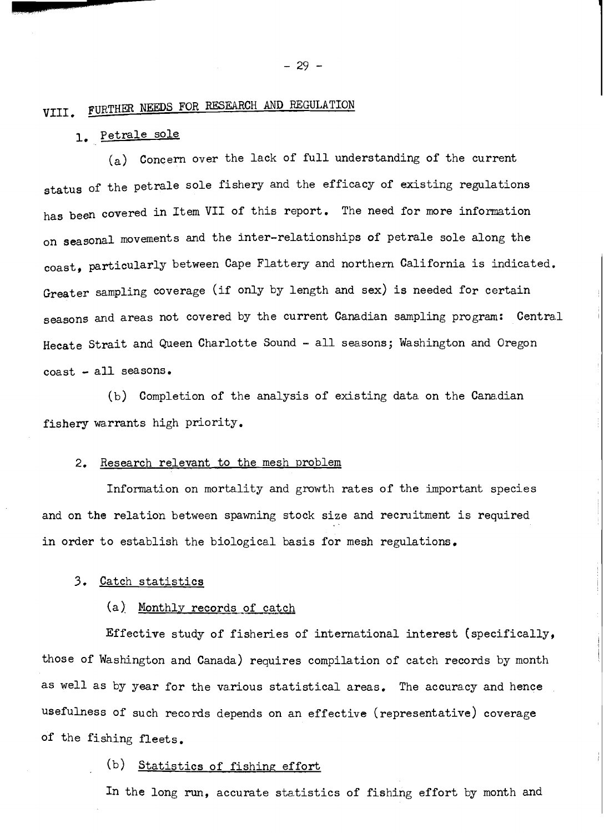## VIII. FURTHER NEEDS FOR RESEARCH AND REGULATION

## 1. Petrale sole **1,** Petrale sole

(a) Concern over the lack of full understanding of the current (a) Concern over the la.ck of full understanding of the current status of the petrale sole fishery and the efficacy of existing regulations status of the petrale sole fishery and the efficacy of existing regulations has been covered in Item VII of this report. The need for more information has been covered in Item VII of this report. The need for more information on seasonal movements and the inter-relationships of petrale sole along the on seasonal movements and the inter-relationships of petrale sole along the  ${\tt coast, \ particularly \ between}$  Cape Flattery and northern California is indicated.  $\qquad \qquad \mid$ Greater sampling coverage (if only by length and sex) is needed for certain Greater sampling coverage (if only by length and sex) is needed for certain seasons and areas not covered by the current Canadian sampling program:  $\,$  Central  $\,$ Hecate Strait and Queen Charlotte Sound - all seasons; Washington and Oregon Hecate Strait and Queen Charlotte Sound - all seasons; Washington and Oregon coast \* all seasons. coast - all seasons.

(b) Completion of the analysis of existing data on the Canadian (b) Completion of the analysis of existing data. on the Canadian fishery warrants high priority. fishery wa,rrants high priority.

#### 2. Research relevant to the mesh problem 2. Research relevant to the mesh problem

Information on mortality and growth rates of the important species and on the relation between spawning stock size and recruitment is required and on the relation between spawning stock size and recruitment is required in order to establish the biological basis for mesh regulations.

#### 3. Catch statistics **3.** Catch statistics

#### (a) Monthly records of catch

 $\texttt{Effective study of fishes of international interest (specifically,} \quad |)$ those of Washington and Canada) requires compilation of catch records by month  $\lvert \cdot \rvert$ as well as by year for the various statistical areas. The accuracy and hence usefulness of such records depends on an effective (representative) coverage usefulness of such records depends on an effective (representative) Coverage of the fishing fleets. of the fishing fleets.

#### (b) Statistics of fishing effort

In the long run, accurate statistics of fishing effort by month and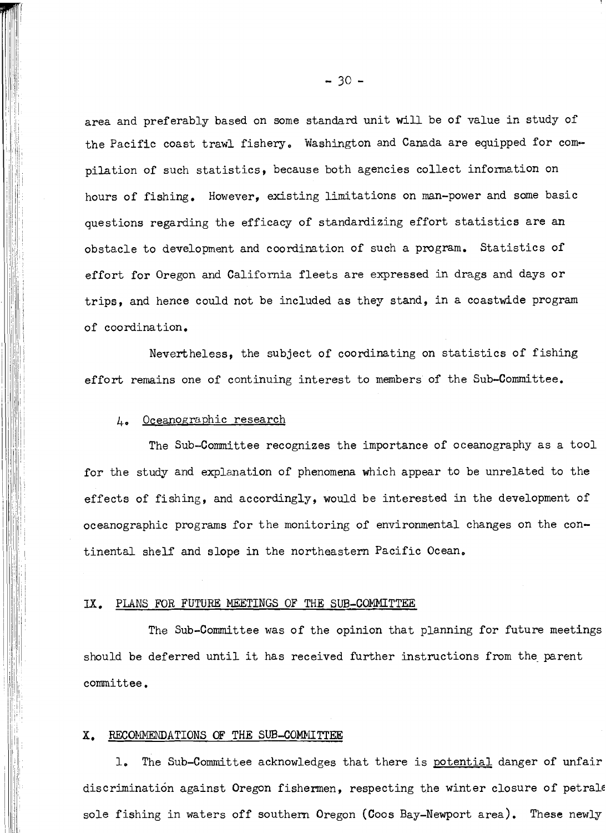area and preferably based on some standard unit will be of value in study of area and preferably based on some standard unit will be of value in study of the Pacific coast trawl fishery. Washington and Canada are equipped for compilation of such statistics, because both agencies collect infoxmation on pilation of such statistics, because both agencies collect information on hours of fishing. However, existing limitations on man-power and some basic hours of fishing, However, existing limitations on man-power and some basic questions regarding the efficacy of standardizing effort statistics are an obstacle to development and coordination of such a program. Statistics of effort for Oregon and California fleets are expressed in drags and days or effort for Oregon and California fleets are expressed in drags and days or trips, and hence could not be included as they stand, in a coastwide program trips, and hence could not be included as they stand, in a coastwide program of coordination. of coordination,

Nevertheless, the subject of coordinating on statistics of fishing Neverthelessp the subject of coordinating on statistics of fishing effort remains one of continuing interest to members of the Sub-Committee. effort remains one of continuing interest to members of the Sub-Committee,

#### 4. Oceanographic research

The Sub-Committee recognizes the importance of oceanography as a tool for the study and explanation of phenomena which appear to be unrelated to the for the study and explanation of phenomena which appear to be unrelated to the effects of fishing, and accordingly, would be interested in the development of oceanographic programs for the monitoring of environmental changes on the continental shelf and slope in the northeastern Pacific Ocean.

#### IX. PLANS FOR FUTURE NEETINGS OF THE SUB-COMMITTEE **IX,** PLANS FOR **FUTURE** NEETINGS OF THE SUB-COPIMITTEE

The Sub-Committee was of the opinion that planning for future meetings The Sub-committee was of the opinion that planning for future meetings should be deferred until it has received further instructions from the parent should be deferred until it has received further instructions from the parent committee. cornittee.

#### X. RECOMMENDATIONS OF THE SUB-COMMITTEE

1. The Sub-Committee acknowledges that there is potential danger of unfair 1, The Sub-committee acknowledges that there is potential danger of unfair discrimination against Oregon fishermen, respecting the winter closure of petral $\epsilon$ sole fishing in waters off southern Oregon (Coos Bay-Newport area). These newly sole fishing in waters off southern Oregon (Coos Bay-Newport area). These newly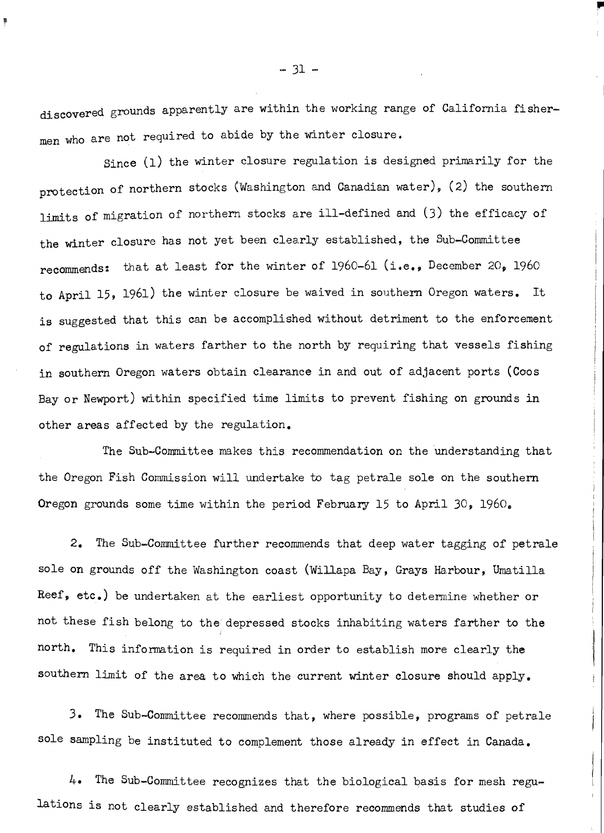discovered grounds apparent1y are within the working range of California fisher-discovered apparently are within the working range of Ca.lifornia fishermen who are not required to abide by the winter closure. men who are not required to asbide by the winter closure.

Since (1) the winter closure regulation is designed primarily for the protection of northern stocks (Washington and Canadian water), (2) the southern limits of migration of northern stocks are ill-defined and (3) the efficacy of limits of migration of northern stocks are ill-defined and (3) the efficacy of the winter closure has not yet been clearly established, the Sub-Committee  $\hspace{1cm} |$ recommends: that at least for the winter of 1960-61 (i.e., December 20, 1960  $\hspace{1cm}$ to April 15, 1961) the winter closure be waived in southern Oregon waters. It  $\qquad \qquad \mid$ is suggested that this can be accomplished without detriment to the enforcement is suggested that this can be accomplished without detriment to the enforcement of regulations in waters farther to the north by requiring that vessels fishing of regula.tions in wa-ters farther to the north by requiring tha,t vessels fishing in southern Oregon waters obtain clearance in and out of adjacent ports (Coos  $\qquad \qquad \mid$ Bay or Newport) within specified time limits to prevent fishing on grounds in  $\qquad$ other areas affected by the regulation. other areas affected by the regulation,

I i i

The Sub-Committee makes this recommendation on the understanding that The Sub-Committee makes this recommendation on the understanding that the Oregon Fish Commission will undertake to tag petrale sole on the southern the southern Oregon grounds some time within the period February 15 to April 30, 1960. Oregon grounds some time within the period February 15 to April 30, 1960,

2. The Sub-Committee further recommends that deep water tagging of petrale **2,** The Sub-Committee further recommends that deep water tagging of petrale sole on grounds off the Washington coast (Willapa Bay, Grays Harbour, Umatilla $\qquad \qquad \mid \; \mid$ Reef, etc.) be undertaken at the earliest opportunity to determine whether or Reef, etc.) be undertaken at the earliest opportunity to determine whether or not these fish belong to the depressed stocks inhabiting waters farther to the  $\qquad \qquad \mid$ north. This infoimation is required in order to establish more clearly the north. This information is required in order to establish more clearly the southern limit of the area to which the current winter closure should apply. southern limit of the area to which the current winter closure should apply.

3. The Sub-Commjttee recommends that, where possible, programs of petrale 3. The Sub-Committee recommends that, where possible, programs of petrale sole sampling be instituted to complement those already in effect in Canada. sole sampling be instituted to complement those already in effect in Canada.

4. The Sub-Committee recognizes that the biological basis for mesh regu-*4.* The Sub-Committee recognizes that the biological basis for mesh regulations is not clearly established and therefore recommends that studies of lations is not clearly established and therefore recommends that studies of

 $-31 -$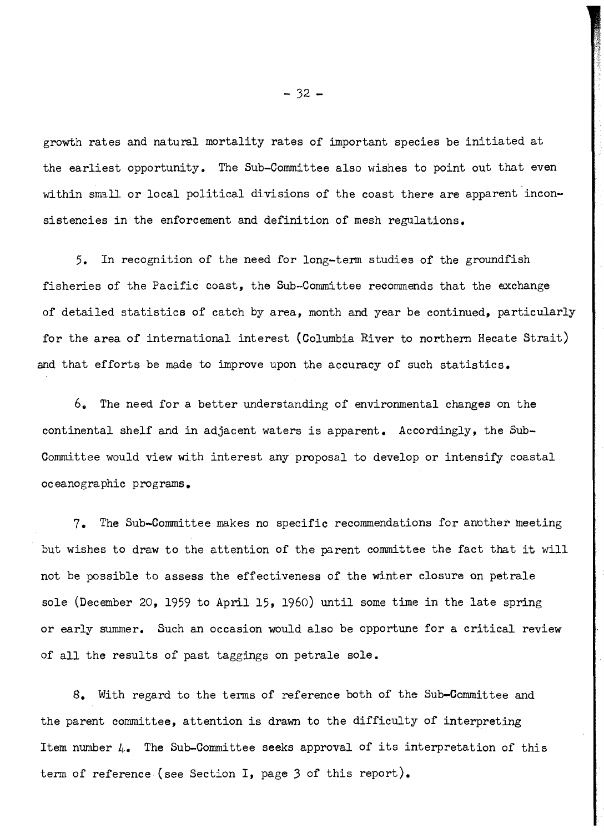growth rates and natural mortality rates of important species be initiated at growth rates and natural mortality rates of important species be initiated at the earliest opportunity. The Sub-Committee also wishes to point out that even within small or local political divisions of the coast there are apparent inconsistencies in the enforcement and definition of mesh regulations. sistencies in the enforcement and definition of mesh regulations.

5. In recognition of the need for long-temi studies of the groundfish 5. In recognition of the need for long-term studies of the groundfish fisheries of the Pacific coast, the Sub-Committee recommends that the exchange fisheries of the Pacific coast, the Sub-Committee recommends that the exchange of detailed statistics of catch by area, month and year be continued, particularly for the area of international interest (Columbia River to northern Hecate Strait) for the area of international interest (Columbia River to northern Hecate Strait) and that efforts be made to improve upon the accuracy of such statistics. and that efforts be made to improve upon the accuracy of such statistics.

6. The need for a better understanding of environmental changes on the 6. The need for a better understanding of environmental changes on the continental shelf and in adjacent waters is apparent. Accordingly, the Sub-continental shelf and in adjacent waters is apparent. Accordingly, the Sub-Committee would view with interest any proposal to develop or intensify coastal Committee would view with interest any proposa.1 to develop or intensify coastal oceanographic programs, oceanographic programs.

7, The Sub-Committee makes no specific recommendations for anbther neeting 7. The Sub-committee makes no specific recommendations for another meeting but wishes to draw to the attention of the parent committee the fact that it will not be possible to assess the effectiveness of the winter closure on petrale not be possible to assess the effectiveness of the winter closure on petrale sole (December 20, 1959 to April 15, 1960) until some time in the late spring sole (December 20, 1959 to April 15, 1960) until some time in the late spring or early summer. Such an occasion would also be opportune for a critical review or early summer. Such an occasion would also be opportune for a critical review of all the results of past taggings on petrale sole. of all the results of past taggings on petrale sole.

, With regard to the terms of reference both of the Sub-Committee and **8.** With regard to the terms of reference both of the Sub-committee and the parent committee, attention is drawn to the difficulty of interpreting the parent committee, attention is drawn to the difficulty of interpreting Item number  $\mu_\bullet$  The Sub-Committee seeks approval of its interpretation of this term of reference (see Section I, page 3 of this report). term of reference (see Section I, page *3* of this report).

 $- 32 -$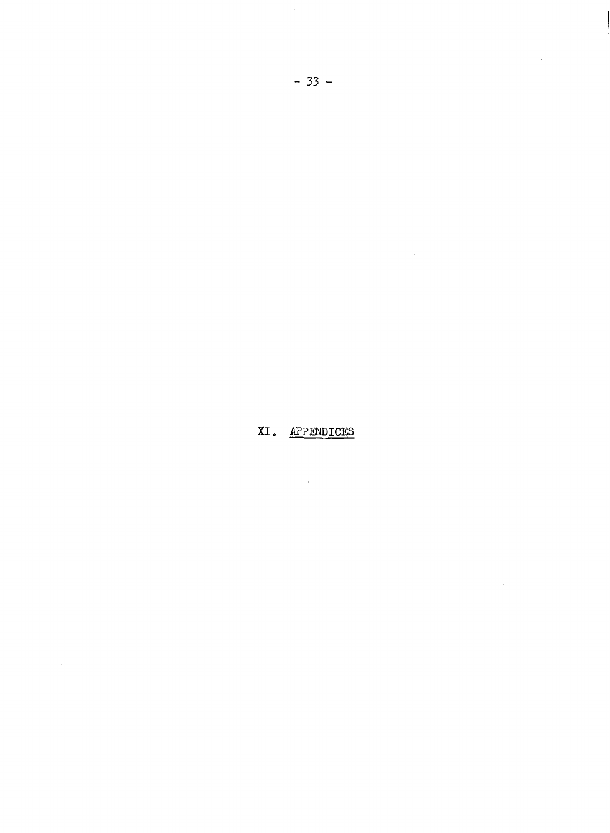XI. APPENDICES

 $\mathcal{L}^{\text{max}}_{\text{max}}$  and  $\mathcal{L}^{\text{max}}_{\text{max}}$ 

 $\label{eq:2.1} \frac{1}{\sqrt{2}}\int_{\mathbb{R}^3}\frac{1}{\sqrt{2}}\left(\frac{1}{\sqrt{2}}\right)^2\frac{1}{\sqrt{2}}\left(\frac{1}{\sqrt{2}}\right)^2\frac{1}{\sqrt{2}}\left(\frac{1}{\sqrt{2}}\right)^2.$ 

 $\label{eq:2.1} \frac{1}{\sqrt{2}}\int_{\mathbb{R}^3}\frac{1}{\sqrt{2}}\left(\frac{1}{\sqrt{2}}\right)^2\frac{1}{\sqrt{2}}\left(\frac{1}{\sqrt{2}}\right)^2\frac{1}{\sqrt{2}}\left(\frac{1}{\sqrt{2}}\right)^2.$ 

 $\label{eq:2.1} \frac{1}{\sqrt{2\pi}}\int_{\mathbb{R}^3}\frac{1}{\sqrt{2\pi}}\int_{\mathbb{R}^3}\frac{1}{\sqrt{2\pi}}\int_{\mathbb{R}^3}\frac{1}{\sqrt{2\pi}}\int_{\mathbb{R}^3}\frac{1}{\sqrt{2\pi}}\int_{\mathbb{R}^3}\frac{1}{\sqrt{2\pi}}\int_{\mathbb{R}^3}\frac{1}{\sqrt{2\pi}}\int_{\mathbb{R}^3}\frac{1}{\sqrt{2\pi}}\int_{\mathbb{R}^3}\frac{1}{\sqrt{2\pi}}\int_{\mathbb{R}^3}\frac{1$ 

 $\frac{1}{2} \left( \frac{1}{2} \right)$ 

 $\sim$   $\sim$ 

 $\mathcal{L}^{\text{max}}_{\text{max}}$  , where  $\mathcal{L}^{\text{max}}_{\text{max}}$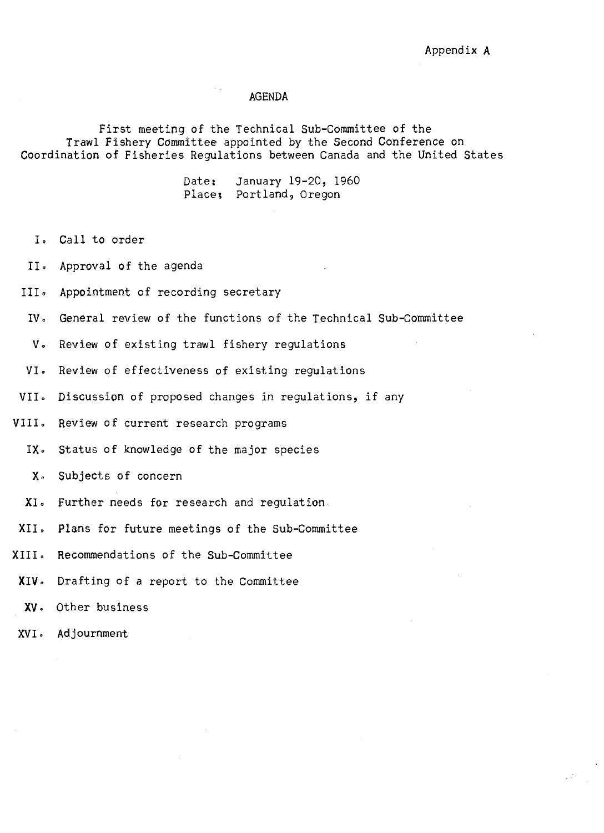#### AGENDA AGENDA

First meeting of the Technical Sub-Committee of the First meeting of the Technical Sub-committee of the Trawl Fishery Committee appointed by the Second Conference on Trawl Fishery Committee appointed by the Second Conference on Coordination of Fisheries Regulations between Canada and the United States Coordination of Fisheries Regulations between Canada and the United States

> Date: January 19-20, 1960 Datet January 19-20, 1960 Places Portland, Oregon Places Portland, Oregon

- I. Call to order
- II Approval of the agenda Approval of the agenda
- III Appointment of recording secretary Appointment of recording secretary
- IV。 General review of the functions of the Technical Sub-Committee
- V Review of existing trawl fishery regulations Review of existing trawl fishery regulations
- VI Review of effectiveness of existing regulations Review of effectiveness of existing regulations **VI.**
- VII。 Discussion of proposed changes in regulations, if any **VII <sup>0</sup>**
- V1110 Review of current research programs Review of current research programs **VIII <sup>0</sup>**
	- IX. Status of knowledge of the major species **IX <sup>6</sup>**
		- X Subjects of concern Subjects of concern
	- XI. Further needs for research and regulation.
- XII Plans for future meetings of the Sub-Committee Plans for future meetings of the Sub-committee
- X1110 Recommendations of the Sub-Committee Recommendations of the Sub-committee
- XIV0 Drafting of a report to the Committee Drafting of a report to the Committee **XIV <sup>0</sup>**
- XV. Other business Other business
- XVI. Adjournment **XVI** . Adjournment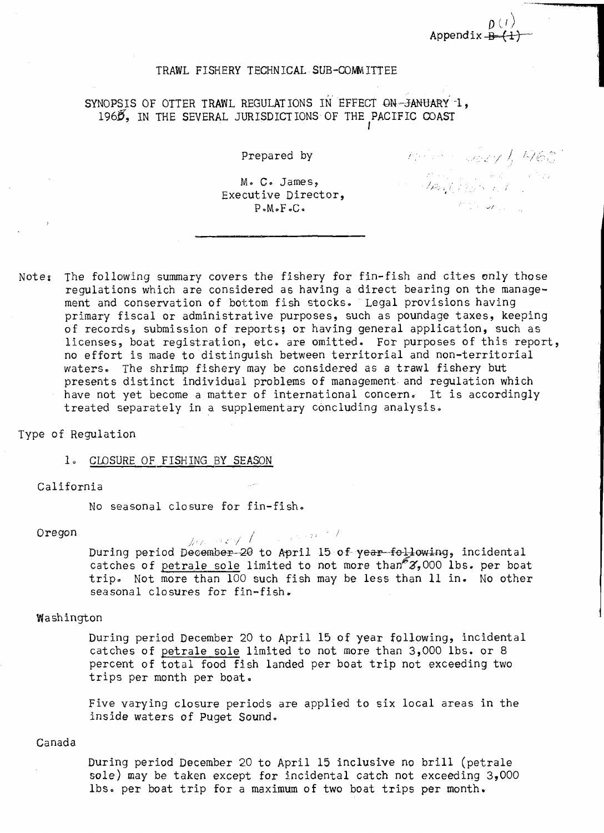$\nu \vee \overline{\phantom{0}}$ Appendix  $\stackrel{<}{\bullet}$ 

Prepared by 1, 1965

#### TRAWL FISHERY TECHNICAL SUB-COMITTEE

SYNOPSIS OF OTTER TRAWL REGULATIONS IN EFFECT ON-JANUARY 1, 1968, IN THE SEVERAL JURISDICTIONS OF THE PACIFIC COAST

Prepared by

M. C James, Me **Ce** James, // , Executive Director,  $\log_{10}$  and  $\log_{10}$  and  $\log_{10}$ P.M.F.C. P-MoFoCa **if** 

Note $_{\bm{i}}$  The following summary covers the fishery for fin-fish and cites only those  $\hskip10mm$ regulations which are considered as having a direct bearing on the manage-regulations which are considered as having a direct bearing on the management and conservation of bottom fish stocks. Legal provisions having ment and conservation of bottom fish stocks. Legal provisions having primary fiscal or administrative purposes, such as poundage taxes, keeping primary fiscal or administrative purposes, such as poundage taxes, keeping of records, submission of reports; or having general application, such as of records, submission of reports; or having general application, such as licenses, boat registration, etc. are omitted. For purposes of this report, licenses, boat registration, etc. are omitted. For purposes of this report, no effort is made to distinguish between territorial and non-territorial no effort is made to distinguish between territorial and non-territorial waters. The shrimp fishery may be considered as a trawl fishery but waters. The shrimp fishery may be considered as a trawl fishery but presents distinct individual problems of management and regulation which have not yet become a matter of international concern. It is accordingly have not yet become a matter of international concern. It is accordingly treated separately in a supplementary concluding analysis. treated separately in a supplementary concluding analysis.

Type of Regulation Type of Regulation

## 1. CLOSURE OF FISHING BY SEASON

#### California California

No seasonal closure for fin-fish. No seasonal closure for fin-fishe

Oregon / j,/ // Oregon , I During period December-20 to April 15 of year following, incidental catches of <u>petrale sole</u> limited to not more than" $\mathscr{Z}_7$ 000 lbs. per boat trip. Not more than 100 such fish may be less than 11 in. No other seasonal closures for fin-fish. seasonal closures for fin-fish, 1, **A,** 

#### Washington Washington **<sup>1</sup>**

During period December 20 to April 15 of year following, incidental During period December 20 to April 15 of year following, incidental catches of petrale sole limited to not more than 3,000 lbs. or 8 catches of petrale sole limited to not more than 3,000 lbs. or 8 percent of total food fish landed per boat trip not exceeding two percent of total food fish landed per boat trip not exceeding two trips per month per boat. trips per month per boat,

Five varying closure periods are applied to six local areas in the Five varying closure periods are applied to six local areas in the inside waters of Puget Sound. inside waters of Puget Sound.

#### Canada Canada

During period December 20 to April 15 inclusive no brill (petrale During period December 20 to April 15 inclusive no brill (petrale sole) may be taken except for incidental catch not exceeding 3,000 sole) may be taken except for incidental catch not exceeding 3,000 lbs. per boat trip for a maximum of two boat trips per month.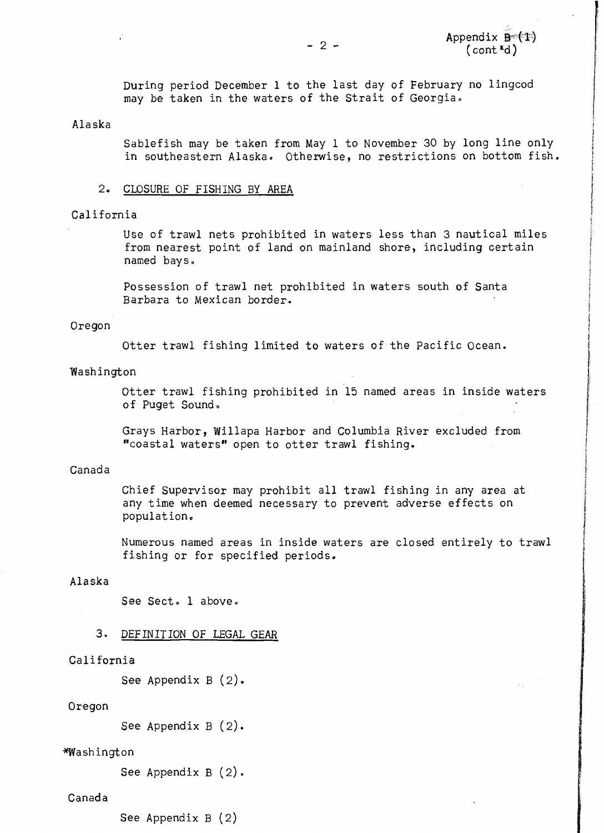During period December 1 to the last day of February no lingcod During period December 1 to the last day of February no lingcod may be taken in the waters of the Strait of Georgia.

#### Alaska Alaska

Sablefish may be taken from May 1 to November 30 by long line only Sablefish may be taken from May 1 to November 30 by long line only in southeastern Alaska Otherwise, no restrictions on bottom fish. in southeastern Alaska. Otherwise, no restrictions on bottom fish .

#### 2. CLOSURE OF FISHING BY AREA 2, CLOSURE OF FISHING BY AREA

#### California California

Use of trawl nets prohibited in waters less than 3 nautical miles Use of trawl nets prohibited in waters less than 3 nautical miles from nearest point of land on mainland shore, including certain from nearest point of land on mainland shore, including certain named bays0 named bays.

Possession of trawl net prohibited in waters south of Santa Possession of trawl net prohibited in waters south of Santa Barbara to Mexican border. Barbara to Mexican border.

#### Oregon Oregon

Otter trawl fishing limited to waters of the Pacific Ocean. Otter trawl fishing limited to waters of the Pacific Ocean.

#### Washington

Otter trawl fishing prohibited in 15 named areas in inside waters Otter trawl fishing prohibited in '15 named areas in inside waters of Puget Sound.

Grays Harbor, Willapa Harbor and Columbia River excluded from Grays Harbor, Willapa Harbor and Columbia River excluded from "coastal waters" open to otter trawl fishing. "coastal waters" open to otter trawl fishing.

#### Canada Canada

Chief Supervisor may prohibit all trawl fishing in any area at Chief Supervisor may prohibit all trawl fishing in any area at any time when deemed necessary to prevent adverse effects on any time when deemed necessary to prevent adverse effects on population. population.

Numerous named areas in inside waters are closed entirely to trawl Numerous named areas in inside waters are closed entirely to trawl fishing or for specified periods. fishing or for specified periods.

#### Alaska Alaska

See Sect. 1 above.

#### 3. DEFINITION OF LEGAL GEAR **3 0** DEFINITION OF LEGAL GEAR

#### California California

See Appendix B (2). See Appendix B (2).

#### Oregon Oregon

See Appendix B (2). See Appendix B (2).

#### \*Washington

See Appendix B (2). See Appendix B (2).

#### Canada Canada

See Appendix B (2) See Appendix B (2)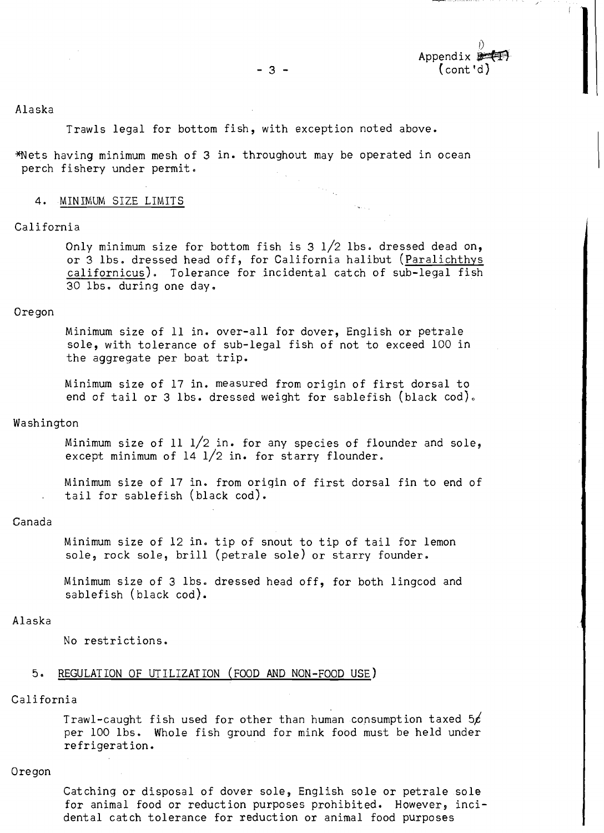Appendix Appendix 3 - (cont'd) (cont 'dl

#### Alaska Alaska

Trawls legal for bottom fish, with exception noted above. Trawls legal for bottom fish, with exception noted above.

\*Nets having minimum mesh of 3 in. throughout may be operated in ocean Wets having minimum mesh of 3 in. throughout may be operated in ocean perch fishery under permit.

#### 4. MINIMUM SIZE LIMI 4. MINIMUM SIZE LIMITS

#### California California

Only minimum size for bottom fish is 3  $1/2$  lbs. dressed dead on, or 3 lbs. dressed head off, for California halibut (<u>Paralichthys</u> or 3 Ibs. dressed head off, for Galifornia halibut (<u>Paralichthys</u><br>c<u>alifornicus</u>). Tolerance for incidental catch of sub-legal fish 30 lbs. during one day. 30 lbs. during one day.

#### Oregon Oregon

Minimum size of 11 in. over-all for dover, English or petrale Minimum size of 11 in. over-all for dover, English or petrale sole, with tolerance of sub-legal fish of not to exceed 100 in sole, with tolerance of sub-legal fish of not to exceed 100 in the aggregate per boat trip. the aggregate per boat trip.

Minimum size of 17 in. measured from origin of first dorsal to Minimum size of 17 in. measured from origin of first dorsal to end of tail or 3 lbs. dressed weight for sablefish (black cod). end of tail or 3 lbs. dressed weight for sablefish (black cod),

#### Washington Washington

Minimum size of 11  $1/2$  in. for any species of flounder and sole, except minimum of 14 l/2 in. for starry flounder.

Minimum size of 17 in, from oriqin of first dorsal fin to end of Minimum size of 17 in. from origin of first dorsal fin to end of tail for sablefish (black cod). tail for sablefish (black cod).

#### Canada Canada

Minimum size of 12 in0 tip of snout to tip of tail for lemon Minimum size of 12 in. tip of snout to tip of tail for lemon sole9 rock sole, brill (petrale sole) or starry founder. sole, rock sole, brill (petrale sole) or starry founder.

Minimum size of 3 lbs0 dressed head off, for both lingcod and Minimum size of 3 lbs. dressed head off, for both lingcod and sablefish (black cod). sablefish (black cod).

#### Alaska Alaska

No restrictions. No restrictions.

#### 5. REGULATION OF UTILIZATION (FOOD AND NON-FOOD USE)

#### California California

Trawl-caught fish used for other than human consumption taxed 5' Trawl-caught fish used for other than human consumption taxed *56*  per 100 lbs. Whole fish ground for mink food must be held under per 100 lbs. Whole fish ground for mink food must be held under refrigeration. refrigeration.

#### Oregon Oregon

Catching or disposal of dover sole, English sole or petrale sole Catching or disposal of dover sole, English sole or petrale sole for animal food or reduction purposes prohibited. However, inci-for animal food or reduction purposes prohibited. However, incidental catch tolerance for reduction or animal food purposes dental catch tolerance for reduction or animal food purposes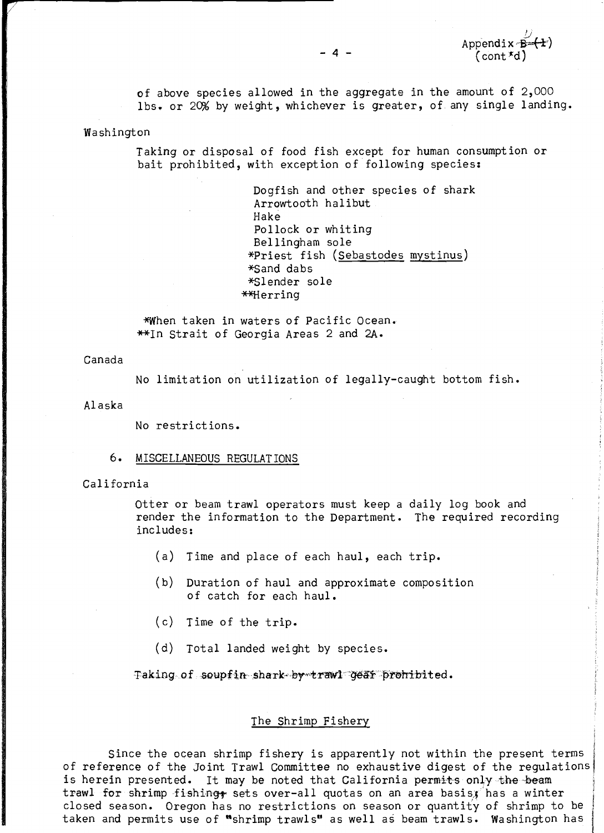of above species allowed in the aggregate in the amount of 2,000 of above species allowed in the aggregate in the amount of 2,000 lbs. or 2% by weight, whichever is greater, of any single landing. lbs. or 2% by weight, whichever is greater, of any single landing.

Washington Washington

Taking or disposal of food fish except for human consumption or Taking or disposal of food fish except for human consumption or bait prohibited, with exception of following species: bait prohibited, with exception of following species:

> Dogfish and other species of shark Dogfish and other species of shark Arrowtooth halibut Arrowtooth halibut Hake Hake Pollock or whiting Pollock or whiting Bellingham sole Bellingham sole \*priest fish (Sebastodes mystinus) Vriest fish (Sebastodes mystinus) \*Sand dabs \*Sand dabs \*Slender sole \*Slender sole \*\*Herring

\*When taken in waters of Pacific Ocean. When taken in waters of Pacific Ocean. 'In Strait of Georgia Areas 2 and 2A. \*In Strait of Georgia Areas 2 and 2A.

Canada Canada

No limitation on utilization of legally-caught bottom fish. No limitation on utilization of legally-caught bottom fish.

Alaska Alaska

No restrictions. No restrictions.

#### 6. MISCELLANEOUS REGULATIONS 6 MISCELLANEOUS REGULAT IONS

California California

Otter or beam trawl operators must keep a daily log book and Otter or beam trawl operators must keep a daily log book and render the information to the Department. The required recording<br>includes: includes:

- (a) Time and place of each haul, each  $\mathrm{trip.}$  , and  $\hspace{-.07cm}$
- (b) Duration of haul and approximate composition (b) Duration of haul and approximate composition of catch for each haul. of catch for each haul.
- (c) Time of the trip. (c) Time of the trip.
- (d) Total landed weight by species. (d) Total landed weight by species.

Taking: of Taking of **soupf** in shark- **by trawl 'w4.** prohibited.

#### The Shrimp Fishery The Shrimp Fishery

Since the ocean shrimp fishery is apparently not within the present terms  $\big\}$ of reference of the Joint Trawl Committee no exhaustive digest of the regulations of reference of the Joint Trawl Committee no exhaustive digest of the regulations is herein presented. It may be noted that California permits only the beam  $\qquad$ trawl for shrimp fishing<del>;</del> sets over-all quotas on an area basis, has a winter the set closed season. Oregon has no restrictions on season or quantity of shrimp to be  $\vert$ taken and permits use of "shrimp trawls" as well as beam trawls. Washington has  $\mid$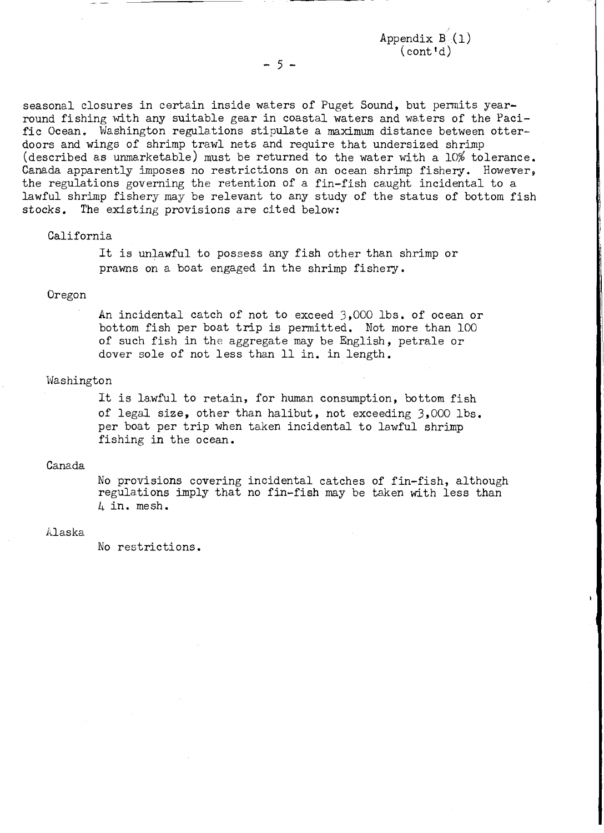$\mathtt{Appendix}\ \mathtt{B}(\mathtt{l})$  $(\text{cont}^{\dagger}d)$ 

seasonal closures in certain inside waters of Puget Sound, but permits yearround fishing with any suitable gear in coastal waters and waters of the Pacific Ocean. Washington regulations stipulate a maximum distance between otterdoors and wings of shrimp trawl nets and require that undersized shrimp doors and wings of shrimp trawl nets and require that undersized shrimp (described as unmarketable) must be returned to the water with a  $10\%$  tolerance. Canada apparently imposes no restrictions on an ocean shrimp fishery. However, the regulations governing the retention of a fin-fish caught incidental to a the regulations governing the retention of a. fin-fish caught incidental to a lawful shrimp fishery may be relevant to any study of the status of bottom fish stocks. The existing provisions are cited below: stocks, The existing provisions are cited below:

#### California California

It is unlawful to possess any fish other than shrimp or It is unlawful to possess any fish other than shrimp or prawns on a boat engaged in the shrimp fishery. prawns on a boat engaged in the shrimp fishery.

#### Oregon Oregon

An incidental catch of not to exceed  $\mathfrak{Z}_2,\mathfrak{O}$ OO lbs. of ocean or bottom fish per boat trip is permitted. Not more than 100 of such fish in the aggregate may be English, petrale or dover sole of not less than 11 in. in length. dover sole of not less than 11 in. in length,

#### Washington Washington

It is lawful to retain, for human consumption, bottom fish of legal size, other than halibut, not exceeding 3,000 lbs. of legal size, other tham halibut, not exceeding 3,000 lbs. per boat per trip when taken incidental to lawful shrimp fishing in the ocean. fishing in the ocean.

#### Canada Cana.da

No provisions covering incidental catches of fin-fish, although No provisions covering incidental catches of fin-fish, although regulations imply that no fin-fish may be taken with less than in. mesh. 4 in. mesh.

#### ilaska Alaska

No restrictions. No restrictions.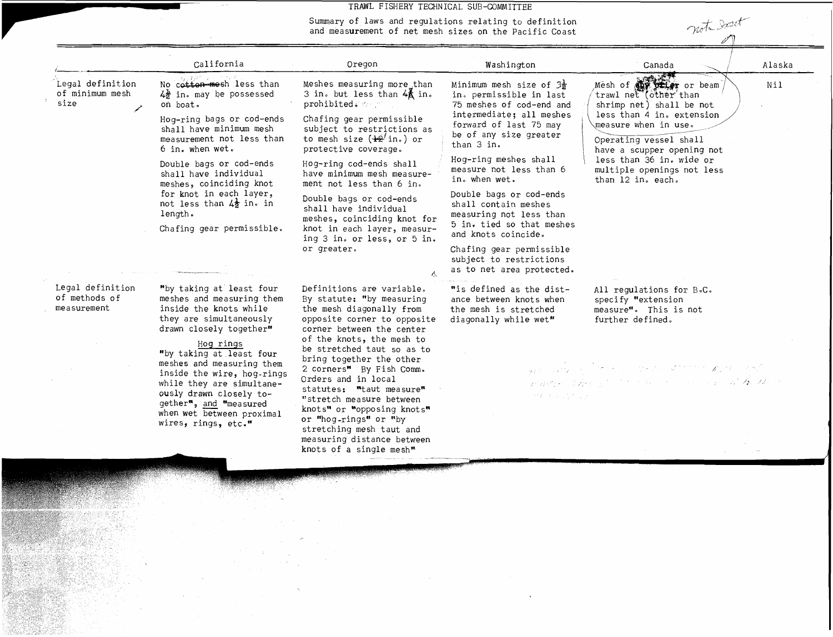#### TRAWL FISHERY TECHNICAL SUB-COMMITTEE TRAWL FISHERY TECHNICAL SUB-COMMITTEE

| note Don't<br>Summary of laws and regulations relating to definition<br>and measurement of net mesh sizes on the Pacific Coast      |                                                                                                                                                                           |                                                                                                                                                 |                                                                                                                                                  |  |  |  |  |
|-------------------------------------------------------------------------------------------------------------------------------------|---------------------------------------------------------------------------------------------------------------------------------------------------------------------------|-------------------------------------------------------------------------------------------------------------------------------------------------|--------------------------------------------------------------------------------------------------------------------------------------------------|--|--|--|--|
| California                                                                                                                          | Oregon                                                                                                                                                                    | Washington                                                                                                                                      | Alaska<br>Canada                                                                                                                                 |  |  |  |  |
| No cotton mesh less than<br>$4\frac{1}{2}$ in. may be possessed<br>on boat.<br>Hog-ring bags or cod-ends<br>shall have minimum mesh | Meshes measuring more than<br>3 in. but less than 4_ in.<br>prohibited ( 4 mill<br>Chafing gear permissible<br>subject to restrictions as                                 | Minimum mesh size of $\frac{2}{2}$<br>in. permissible in last<br>75 meshes of cod-end and<br>intermediate; all meshes<br>forward of last 75 may | Mesh of <b>any year</b> or beam<br>Nil<br>trawl net (other than<br>shrimp net) shall be not<br>less than 4 in. extension<br>measure when in use. |  |  |  |  |
| measurement not less than<br>6 in. when wet.<br>Double bags or cod-ends<br>shall have individual                                    | to mesh size $(\pm 2^j \text{ in.})$ or<br>protective coverage.<br>Hog-ring cod-ends shall<br>have minimum mesh measure-                                                  | than 3 in.<br>Hog-ring meshes shall<br>measure not less than 6                                                                                  | Operating vessel shall<br>have a scupper opening not<br>less than 36 in. wide or<br>multiple openings not less                                   |  |  |  |  |
| meshes, coinciding knot<br>for knot in each layer,<br>not less than $4\frac{1}{2}$ in. in<br>length.<br>Chafing gear permissible.   | ment not less than 6 in.<br>Double bags or cod-ends<br>shall have individual<br>meshes, coinciding knot for<br>knot in each layer, measur-<br>ing 3 in. or less, or 5 in. | Double bags or cod-ends<br>shall contain meshes<br>measuring not less than<br>5 in. tied so that meshes<br>and knots coincide.                  | than 12 in. each.                                                                                                                                |  |  |  |  |
|                                                                                                                                     | or greater.                                                                                                                                                               | Chafing gear permissible<br>subject to restrictions<br>as to net area protected.                                                                |                                                                                                                                                  |  |  |  |  |
| "by taking at least four<br>meshes and measuring them                                                                               | Definitions are variable.<br>By statute: "by measuring<br>the mesh diagonally from<br>opposite corner to opposite                                                         | "is defined as the dist-<br>ance between knots when<br>the mesh is stretched<br>diagonally while wet"                                           | All regulations for B.C.<br>specify "extension<br>measure". This is not<br>further defined.                                                      |  |  |  |  |
| inside the knots while<br>they are simultaneously<br>drawn closely together"                                                        | corner between the center<br>of the knots, the mesh to                                                                                                                    |                                                                                                                                                 |                                                                                                                                                  |  |  |  |  |
|                                                                                                                                     |                                                                                                                                                                           |                                                                                                                                                 | TRAWL FISHERY TECHNICAL SUB-COMMITTEE<br>be of any size greater<br>in. when wet.                                                                 |  |  |  |  |

No. of the Contract

 $\sim$   $\sim$